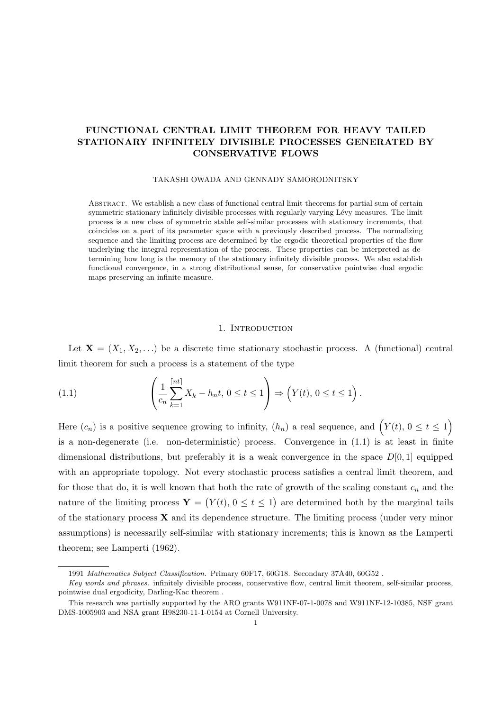# **FUNCTIONAL CENTRAL LIMIT THEOREM FOR HEAVY TAILED STATIONARY INFINITELY DIVISIBLE PROCESSES GENERATED BY CONSERVATIVE FLOWS**

#### TAKASHI OWADA AND GENNADY SAMORODNITSKY

Abstract. We establish a new class of functional central limit theorems for partial sum of certain symmetric stationary infinitely divisible processes with regularly varying Lévy measures. The limit process is a new class of symmetric stable self-similar processes with stationary increments, that coincides on a part of its parameter space with a previously described process. The normalizing sequence and the limiting process are determined by the ergodic theoretical properties of the flow underlying the integral representation of the process. These properties can be interpreted as determining how long is the memory of the stationary infinitely divisible process. We also establish functional convergence, in a strong distributional sense, for conservative pointwise dual ergodic maps preserving an infinite measure.

## 1. INTRODUCTION

Let  $X = (X_1, X_2, \ldots)$  be a discrete time stationary stochastic process. A (functional) central limit theorem for such a process is a statement of the type

(1.1) 
$$
\left(\frac{1}{c_n}\sum_{k=1}^{\lceil nt \rceil} X_k - h_n t, 0 \le t \le 1\right) \Rightarrow \left(Y(t), 0 \le t \le 1\right).
$$

Here  $(c_n)$  is a positive sequence growing to infinity,  $(h_n)$  a real sequence, and  $(Y(t), 0 \le t \le 1)$ is a non-degenerate (i.e. non-deterministic) process. Convergence in (1.1) is at least in finite dimensional distributions, but preferably it is a weak convergence in the space *D*[0*,* 1] equipped with an appropriate topology. Not every stochastic process satisfies a central limit theorem, and for those that do, it is well known that both the rate of growth of the scaling constant *c<sup>n</sup>* and the nature of the limiting process  $Y = (Y(t), 0 \le t \le 1)$  are determined both by the marginal tails of the stationary process **X** and its dependence structure. The limiting process (under very minor assumptions) is necessarily self-similar with stationary increments; this is known as the Lamperti theorem; see Lamperti (1962).

<sup>1991</sup> *Mathematics Subject Classification.* Primary 60F17, 60G18. Secondary 37A40, 60G52 .

*Key words and phrases.* infinitely divisible process, conservative flow, central limit theorem, self-similar process, pointwise dual ergodicity, Darling-Kac theorem .

This research was partially supported by the ARO grants W911NF-07-1-0078 and W911NF-12-10385, NSF grant DMS-1005903 and NSA grant H98230-11-1-0154 at Cornell University.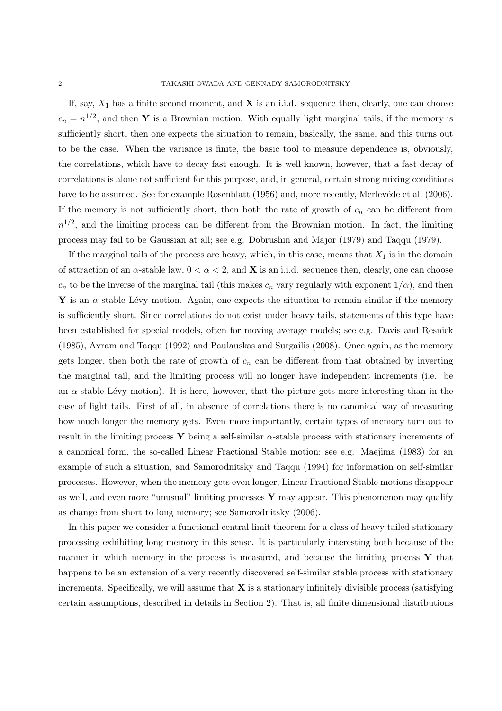If, say,  $X_1$  has a finite second moment, and **X** is an i.i.d. sequence then, clearly, one can choose  $c_n = n^{1/2}$ , and then **Y** is a Brownian motion. With equally light marginal tails, if the memory is sufficiently short, then one expects the situation to remain, basically, the same, and this turns out to be the case. When the variance is finite, the basic tool to measure dependence is, obviously, the correlations, which have to decay fast enough. It is well known, however, that a fast decay of correlations is alone not sufficient for this purpose, and, in general, certain strong mixing conditions have to be assumed. See for example Rosenblatt (1956) and, more recently, Merlevéde et al. (2006). If the memory is not sufficiently short, then both the rate of growth of *c<sup>n</sup>* can be different from  $n^{1/2}$ , and the limiting process can be different from the Brownian motion. In fact, the limiting process may fail to be Gaussian at all; see e.g. Dobrushin and Major (1979) and Taqqu (1979).

If the marginal tails of the process are heavy, which, in this case, means that  $X_1$  is in the domain of attraction of an  $\alpha$ -stable law,  $0 < \alpha < 2$ , and **X** is an i.i.d. sequence then, clearly, one can choose  $c_n$  to be the inverse of the marginal tail (this makes  $c_n$  vary regularly with exponent  $1/\alpha$ ), and then **Y** is an  $\alpha$ -stable Lévy motion. Again, one expects the situation to remain similar if the memory is sufficiently short. Since correlations do not exist under heavy tails, statements of this type have been established for special models, often for moving average models; see e.g. Davis and Resnick (1985), Avram and Taqqu (1992) and Paulauskas and Surgailis (2008). Once again, as the memory gets longer, then both the rate of growth of  $c_n$  can be different from that obtained by inverting the marginal tail, and the limiting process will no longer have independent increments (i.e. be an  $\alpha$ -stable Lévy motion). It is here, however, that the picture gets more interesting than in the case of light tails. First of all, in absence of correlations there is no canonical way of measuring how much longer the memory gets. Even more importantly, certain types of memory turn out to result in the limiting process **Y** being a self-similar  $\alpha$ -stable process with stationary increments of a canonical form, the so-called Linear Fractional Stable motion; see e.g. Maejima (1983) for an example of such a situation, and Samorodnitsky and Taqqu (1994) for information on self-similar processes. However, when the memory gets even longer, Linear Fractional Stable motions disappear as well, and even more "unusual" limiting processes **Y** may appear. This phenomenon may qualify as change from short to long memory; see Samorodnitsky (2006).

In this paper we consider a functional central limit theorem for a class of heavy tailed stationary processing exhibiting long memory in this sense. It is particularly interesting both because of the manner in which memory in the process is measured, and because the limiting process **Y** that happens to be an extension of a very recently discovered self-similar stable process with stationary increments. Specifically, we will assume that **X** is a stationary infinitely divisible process (satisfying certain assumptions, described in details in Section 2). That is, all finite dimensional distributions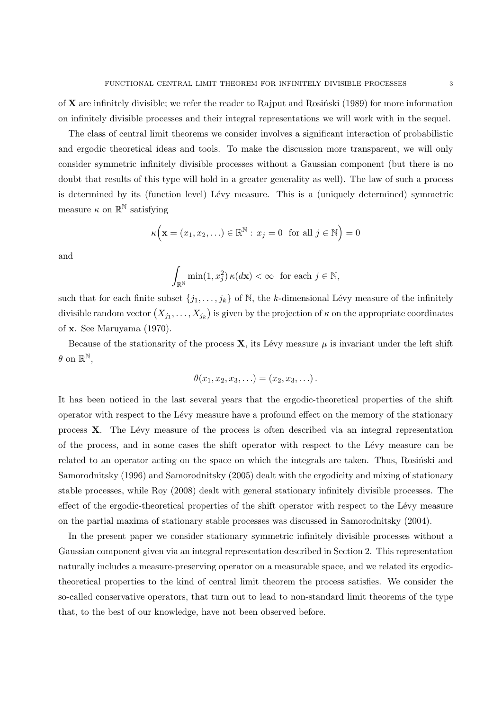of  $X$  are infinitely divisible; we refer the reader to Rajput and Rosinski (1989) for more information on infinitely divisible processes and their integral representations we will work with in the sequel.

The class of central limit theorems we consider involves a significant interaction of probabilistic and ergodic theoretical ideas and tools. To make the discussion more transparent, we will only consider symmetric infinitely divisible processes without a Gaussian component (but there is no doubt that results of this type will hold in a greater generality as well). The law of such a process is determined by its (function level) Lévy measure. This is a (uniquely determined) symmetric measure  $\kappa$  on  $\mathbb{R}^{\mathbb{N}}$  satisfying

$$
\kappa\Big(\mathbf{x}=(x_1,x_2,\ldots)\in\mathbb{R}^{\mathbb{N}}:\,x_j=0\text{ for all }j\in\mathbb{N}\Big)=0
$$

and

$$
\int_{\mathbb{R}^{\mathbb{N}}} \min(1, x_j^2) \,\kappa(d\mathbf{x}) < \infty \quad \text{for each } j \in \mathbb{N},
$$

such that for each finite subset  $\{j_1, \ldots, j_k\}$  of N, the *k*-dimensional Lévy measure of the infinitely divisible random vector  $(X_{j_1},\ldots,X_{j_k})$  is given by the projection of  $\kappa$  on the appropriate coordinates of **x**. See Maruyama (1970).

Because of the stationarity of the process  $\bf{X}$ , its Lévy measure  $\mu$  is invariant under the left shift  $\theta$  on  $\mathbb{R}^{\mathbb{N}},$ 

$$
\theta(x_1, x_2, x_3, \ldots) = (x_2, x_3, \ldots).
$$

It has been noticed in the last several years that the ergodic-theoretical properties of the shift operator with respect to the L´evy measure have a profound effect on the memory of the stationary process **X**. The Lévy measure of the process is often described via an integral representation of the process, and in some cases the shift operator with respect to the L´evy measure can be related to an operator acting on the space on which the integrals are taken. Thus, Rosinski and Samorodnitsky (1996) and Samorodnitsky (2005) dealt with the ergodicity and mixing of stationary stable processes, while Roy (2008) dealt with general stationary infinitely divisible processes. The effect of the ergodic-theoretical properties of the shift operator with respect to the Lévy measure on the partial maxima of stationary stable processes was discussed in Samorodnitsky (2004).

In the present paper we consider stationary symmetric infinitely divisible processes without a Gaussian component given via an integral representation described in Section 2. This representation naturally includes a measure-preserving operator on a measurable space, and we related its ergodictheoretical properties to the kind of central limit theorem the process satisfies. We consider the so-called conservative operators, that turn out to lead to non-standard limit theorems of the type that, to the best of our knowledge, have not been observed before.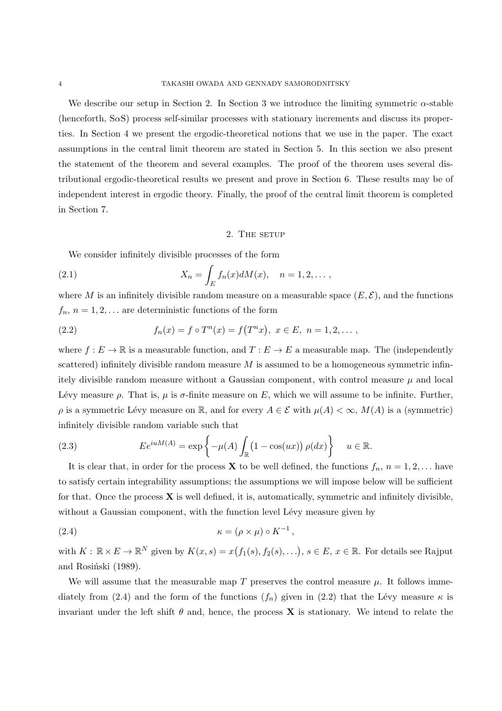We describe our setup in Section 2. In Section 3 we introduce the limiting symmetric  $\alpha$ -stable (henceforth, S*α*S) process self-similar processes with stationary increments and discuss its properties. In Section 4 we present the ergodic-theoretical notions that we use in the paper. The exact assumptions in the central limit theorem are stated in Section 5. In this section we also present the statement of the theorem and several examples. The proof of the theorem uses several distributional ergodic-theoretical results we present and prove in Section 6. These results may be of independent interest in ergodic theory. Finally, the proof of the central limit theorem is completed in Section 7.

### 2. THE SETUP

We consider infinitely divisible processes of the form

(2.1) 
$$
X_n = \int_E f_n(x) dM(x), \quad n = 1, 2, \dots,
$$

where *M* is an infinitely divisible random measure on a measurable space  $(E, \mathcal{E})$ , and the functions  $f_n$ ,  $n = 1, 2, \ldots$  are deterministic functions of the form

(2.2) 
$$
f_n(x) = f \circ T^n(x) = f(T^n x), \ x \in E, \ n = 1, 2, \dots,
$$

where  $f: E \to \mathbb{R}$  is a measurable function, and  $T: E \to E$  a measurable map. The (independently scattered) infinitely divisible random measure *M* is assumed to be a homogeneous symmetric infinitely divisible random measure without a Gaussian component, with control measure *µ* and local Lévy measure *ρ*. That is, *μ* is *σ*-finite measure on *E*, which we will assume to be infinite. Further,  $\rho$  is a symmetric Lévy measure on R, and for every  $A \in \mathcal{E}$  with  $\mu(A) < \infty$ ,  $M(A)$  is a (symmetric) infinitely divisible random variable such that

(2.3) 
$$
E e^{iuM(A)} = \exp\left\{-\mu(A)\int_{\mathbb{R}}\left(1-\cos(ux)\right)\rho(dx)\right\} \quad u \in \mathbb{R}.
$$

It is clear that, in order for the process **X** to be well defined, the functions  $f_n$ ,  $n = 1, 2, \ldots$  have to satisfy certain integrability assumptions; the assumptions we will impose below will be sufficient for that. Once the process **X** is well defined, it is, automatically, symmetric and infinitely divisible, without a Gaussian component, with the function level Lévy measure given by

(2.4) 
$$
\kappa = (\rho \times \mu) \circ K^{-1},
$$

with  $K: \mathbb{R} \times E \to \mathbb{R}^N$  given by  $K(x, s) = x(f_1(s), f_2(s), \ldots), s \in E, x \in \mathbb{R}$ . For details see Rajput and Rosiński (1989).

We will assume that the measurable map  $T$  preserves the control measure  $\mu$ . It follows immediately from (2.4) and the form of the functions  $(f_n)$  given in (2.2) that the Lévy measure  $\kappa$  is invariant under the left shift  $\theta$  and, hence, the process **X** is stationary. We intend to relate the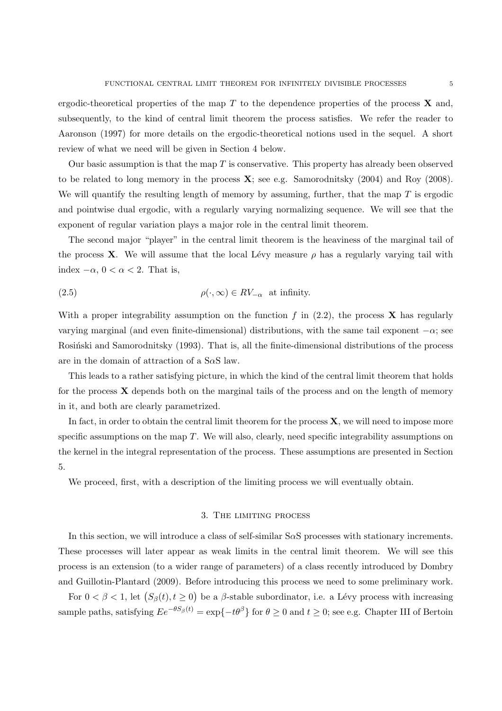ergodic-theoretical properties of the map *T* to the dependence properties of the process **X** and, subsequently, to the kind of central limit theorem the process satisfies. We refer the reader to Aaronson (1997) for more details on the ergodic-theoretical notions used in the sequel. A short review of what we need will be given in Section 4 below.

Our basic assumption is that the map *T* is conservative. This property has already been observed to be related to long memory in the process **X**; see e.g. Samorodnitsky (2004) and Roy (2008). We will quantify the resulting length of memory by assuming, further, that the map *T* is ergodic and pointwise dual ergodic, with a regularly varying normalizing sequence. We will see that the exponent of regular variation plays a major role in the central limit theorem.

The second major "player" in the central limit theorem is the heaviness of the marginal tail of the process **X**. We will assume that the local Lévy measure  $\rho$  has a regularly varying tail with index *−α*, 0 *< α <* 2. That is,

(2.5) 
$$
\rho(\cdot,\infty) \in RV_{-\alpha} \text{ at infinity.}
$$

With a proper integrability assumption on the function  $f$  in  $(2.2)$ , the process **X** has regularly varying marginal (and even finite-dimensional) distributions, with the same tail exponent  $-\alpha$ ; see Rosiński and Samorodnitsky (1993). That is, all the finite-dimensional distributions of the process are in the domain of attraction of a S*α*S law.

This leads to a rather satisfying picture, in which the kind of the central limit theorem that holds for the process **X** depends both on the marginal tails of the process and on the length of memory in it, and both are clearly parametrized.

In fact, in order to obtain the central limit theorem for the process **X**, we will need to impose more specific assumptions on the map *T*. We will also, clearly, need specific integrability assumptions on the kernel in the integral representation of the process. These assumptions are presented in Section 5.

We proceed, first, with a description of the limiting process we will eventually obtain.

### 3. The limiting process

In this section, we will introduce a class of self-similar S*α*S processes with stationary increments. These processes will later appear as weak limits in the central limit theorem. We will see this process is an extension (to a wider range of parameters) of a class recently introduced by Dombry and Guillotin-Plantard (2009). Before introducing this process we need to some preliminary work.

For  $0 < \beta < 1$ , let  $(S_\beta(t), t \ge 0)$  be a  $\beta$ -stable subordinator, i.e. a Lévy process with increasing sample paths, satisfying  $Ee^{-\theta S_\beta(t)} = \exp\{-t\theta^\beta\}$  for  $\theta \ge 0$  and  $t \ge 0$ ; see e.g. Chapter III of Bertoin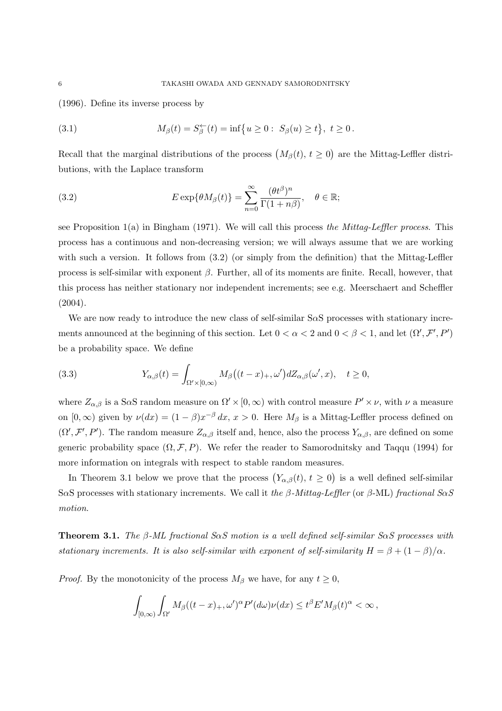(1996). Define its inverse process by

(3.1) 
$$
M_{\beta}(t) = S_{\beta}^{\leftarrow}(t) = \inf \{ u \ge 0 : S_{\beta}(u) \ge t \}, t \ge 0.
$$

Recall that the marginal distributions of the process  $(M_\beta(t), t \ge 0)$  are the Mittag-Leffler distributions, with the Laplace transform

(3.2) 
$$
E \exp\{\theta M_{\beta}(t)\} = \sum_{n=0}^{\infty} \frac{(\theta t^{\beta})^n}{\Gamma(1+n\beta)}, \quad \theta \in \mathbb{R};
$$

see Proposition 1(a) in Bingham (1971). We will call this process *the Mittag-Leffler process*. This process has a continuous and non-decreasing version; we will always assume that we are working with such a version. It follows from  $(3.2)$  (or simply from the definition) that the Mittag-Leffler process is self-similar with exponent *β*. Further, all of its moments are finite. Recall, however, that this process has neither stationary nor independent increments; see e.g. Meerschaert and Scheffler (2004).

We are now ready to introduce the new class of self-similar S*α*S processes with stationary increments announced at the beginning of this section. Let  $0 < \alpha < 2$  and  $0 < \beta < 1$ , and let  $(\Omega', \mathcal{F}', P')$ be a probability space. We define

(3.3) 
$$
Y_{\alpha,\beta}(t) = \int_{\Omega' \times [0,\infty)} M_{\beta}\big((t-x)_{+}, \omega'\big) dZ_{\alpha,\beta}(\omega',x), \quad t \ge 0,
$$

where  $Z_{\alpha,\beta}$  is a S $\alpha$ S random measure on  $\Omega' \times [0,\infty)$  with control measure  $P' \times \nu$ , with  $\nu$  a measure on  $[0, \infty)$  given by  $\nu(dx) = (1 - \beta)x^{-\beta} dx$ ,  $x > 0$ . Here  $M_{\beta}$  is a Mittag-Leffler process defined on  $(\Omega', \mathcal{F}', P')$ . The random measure  $Z_{\alpha,\beta}$  itself and, hence, also the process  $Y_{\alpha,\beta}$ , are defined on some generic probability space  $(\Omega, \mathcal{F}, P)$ . We refer the reader to Samorodnitsky and Taqqu (1994) for more information on integrals with respect to stable random measures.

In Theorem 3.1 below we prove that the process  $(Y_{\alpha,\beta}(t), t \ge 0)$  is a well defined self-similar S*α*S processes with stationary increments. We call it *the β-Mittag-Leffler* (or *β*-ML) *fractional SαS motion*.

**Theorem 3.1.** *The β-ML fractional SαS motion is a well defined self-similar SαS processes with stationary increments. It is also self-similar with exponent of self-similarity*  $H = \beta + (1 - \beta)/\alpha$ .

*Proof.* By the monotonicity of the process  $M_\beta$  we have, for any  $t \geq 0$ ,

$$
\int_{[0,\infty)} \int_{\Omega'} M_{\beta}((t-x)_+,\omega')^{\alpha} P'(d\omega) \nu(dx) \leq t^{\beta} E' M_{\beta}(t)^{\alpha} < \infty,
$$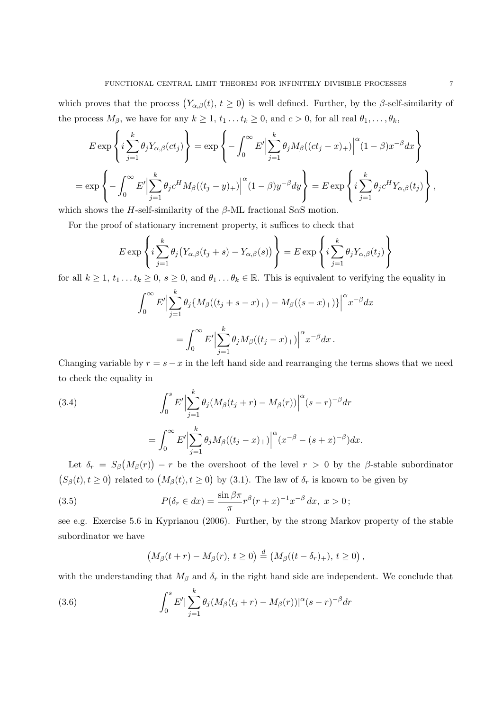which proves that the process  $(Y_{\alpha,\beta}(t), t \ge 0)$  is well defined. Further, by the *β*-self-similarity of the process  $M_{\beta}$ , we have for any  $k \geq 1$ ,  $t_1 \ldots t_k \geq 0$ , and  $c > 0$ , for all real  $\theta_1, \ldots, \theta_k$ ,

$$
E \exp\left\{i\sum_{j=1}^{k} \theta_j Y_{\alpha,\beta}(ct_j)\right\} = \exp\left\{-\int_0^\infty E' \Big|\sum_{j=1}^{k} \theta_j M_{\beta}((ct_j - x)_+)\Big|^\alpha (1 - \beta)x^{-\beta} dx\right\}
$$
  
= 
$$
\exp\left\{-\int_0^\infty E' \Big|\sum_{j=1}^{k} \theta_j c^H M_{\beta}((t_j - y)_+)\Big|^\alpha (1 - \beta)y^{-\beta} dy\right\} = E \exp\left\{i\sum_{j=1}^{k} \theta_j c^H Y_{\alpha,\beta}(t_j)\right\},
$$

which shows the *H*-self-similarity of the *β*-ML fractional S*α*S motion.

For the proof of stationary increment property, it suffices to check that

$$
E \exp\left\{i \sum_{j=1}^{k} \theta_j (Y_{\alpha,\beta}(t_j + s) - Y_{\alpha,\beta}(s))\right\} = E \exp\left\{i \sum_{j=1}^{k} \theta_j Y_{\alpha,\beta}(t_j)\right\}
$$

for all  $k \geq 1, t_1...t_k \geq 0, s \geq 0$ , and  $\theta_1... \theta_k \in \mathbb{R}$ . This is equivalent to verifying the equality in

$$
\int_0^{\infty} E' \Big| \sum_{j=1}^k \theta_j \{ M_\beta((t_j + s - x)_+) - M_\beta((s - x)_+) \} \Big|^{\alpha} x^{-\beta} dx
$$
  
= 
$$
\int_0^{\infty} E' \Big| \sum_{j=1}^k \theta_j M_\beta((t_j - x)_+) \Big|^{\alpha} x^{-\beta} dx.
$$

Changing variable by  $r = s - x$  in the left hand side and rearranging the terms shows that we need to check the equality in

(3.4)  

$$
\int_{0}^{s} E' \Big| \sum_{j=1}^{k} \theta_{j} (M_{\beta}(t_{j} + r) - M_{\beta}(r)) \Big|^{\alpha} (s - r)^{-\beta} dr
$$

$$
= \int_{0}^{\infty} E' \Big| \sum_{j=1}^{k} \theta_{j} M_{\beta} ((t_{j} - x)_{+}) \Big|^{\alpha} (x^{-\beta} - (s + x)^{-\beta}) dx.
$$

Let  $\delta_r = S_\beta\left(M_\beta(r)\right) - r$  be the overshoot of the level  $r > 0$  by the *β*-stable subordinator  $(S_\beta(t), t \geq 0)$  related to  $(M_\beta(t), t \geq 0)$  by (3.1). The law of  $\delta_r$  is known to be given by

(3.5) 
$$
P(\delta_r \in dx) = \frac{\sin \beta \pi}{\pi} r^{\beta} (r+x)^{-1} x^{-\beta} dx, \ x > 0;
$$

see e.g. Exercise 5.6 in Kyprianou (2006). Further, by the strong Markov property of the stable subordinator we have

$$
(M_{\beta}(t+r)-M_{\beta}(r), t\geq 0)\stackrel{d}{=} (M_{\beta}((t-\delta_r)_+), t\geq 0),
$$

with the understanding that  $M_\beta$  and  $\delta_r$  in the right hand side are independent. We conclude that

(3.6) 
$$
\int_0^s E' \left( \sum_{j=1}^k \theta_j (M_\beta(t_j + r) - M_\beta(r)) \right) |^\alpha (s - r)^{-\beta} dr
$$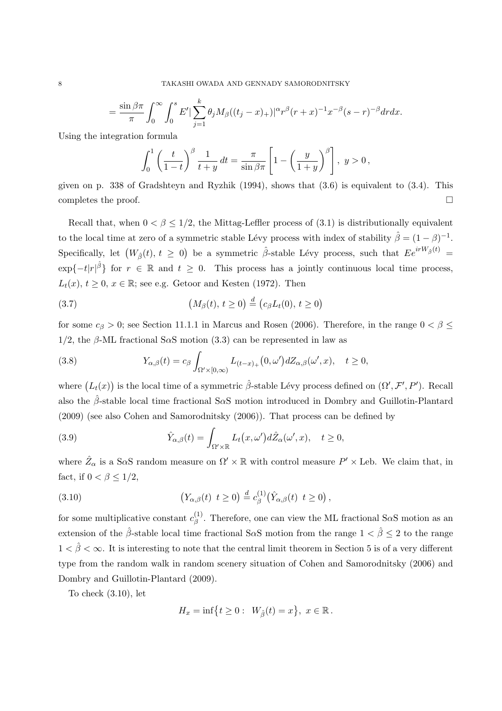$$
= \frac{\sin \beta \pi}{\pi} \int_0^{\infty} \int_0^s E' |\sum_{j=1}^k \theta_j M_{\beta} ((t_j - x)_+)|^{\alpha} r^{\beta} (r + x)^{-1} x^{-\beta} (s - r)^{-\beta} dr dx.
$$

Using the integration formula

$$
\int_0^1 \left(\frac{t}{1-t}\right)^{\beta} \frac{1}{t+y} dt = \frac{\pi}{\sin \beta \pi} \left[1 - \left(\frac{y}{1+y}\right)^{\beta}\right], \ y > 0,
$$

given on p. 338 of Gradshteyn and Ryzhik  $(1994)$ , shows that  $(3.6)$  is equivalent to  $(3.4)$ . This completes the proof.  $\Box$ 

Recall that, when  $0 < \beta < 1/2$ , the Mittag-Leffler process of (3.1) is distributionally equivalent to the local time at zero of a symmetric stable Lévy process with index of stability  $\hat{\beta} = (1 - \beta)^{-1}$ .  $\text{Specifically, let } (W_{\hat{\beta}}(t), t \geq 0) \text{ be a symmetric } \hat{\beta}$ -stable Lévy process, such that  $Ee^{irW_{\hat{\beta}}(t)} =$  $\exp\{-t|r|^{\hat{\beta}}\}$  for  $r \in \mathbb{R}$  and  $t \geq 0$ . This process has a jointly continuous local time process,  $L_t(x)$ ,  $t \geq 0$ ,  $x \in \mathbb{R}$ ; see e.g. Getoor and Kesten (1972). Then

(3.7) 
$$
(M_{\beta}(t), t \ge 0) \stackrel{d}{=} (c_{\beta}L_t(0), t \ge 0)
$$

for some  $c_{\beta} > 0$ ; see Section 11.1.1 in Marcus and Rosen (2006). Therefore, in the range  $0 < \beta \leq$ 1*/*2, the *β*-ML fractional S*α*S motion (3.3) can be represented in law as

(3.8) 
$$
Y_{\alpha,\beta}(t) = c_{\beta} \int_{\Omega' \times [0,\infty)} L_{(t-x)_+}(0,\omega') dZ_{\alpha,\beta}(\omega',x), \quad t \ge 0,
$$

where  $(L_t(x))$  is the local time of a symmetric  $\hat{\beta}$ -stable Lévy process defined on  $(\Omega', \mathcal{F}', P')$ . Recall also the *β*ˆ-stable local time fractional S*α*S motion introduced in Dombry and Guillotin-Plantard (2009) (see also Cohen and Samorodnitsky (2006)). That process can be defined by

(3.9) 
$$
\hat{Y}_{\alpha,\beta}(t) = \int_{\Omega' \times \mathbb{R}} L_t(x,\omega') d\hat{Z}_{\alpha}(\omega',x), \quad t \ge 0,
$$

where  $\hat{Z}_{\alpha}$  is a S $\alpha$ S random measure on  $\Omega' \times \mathbb{R}$  with control measure  $P' \times$  Leb. We claim that, in fact, if  $0 < \beta \leq 1/2$ ,

(3.10) 
$$
(Y_{\alpha,\beta}(t) \ t \geq 0) \stackrel{d}{=} c_{\beta}^{(1)}(\hat{Y}_{\alpha,\beta}(t) \ t \geq 0),
$$

for some multiplicative constant  $c_{\beta}^{(1)}$ *β* . Therefore, one can view the ML fractional S*α*S motion as an extension of the  $\hat{\beta}$ -stable local time fractional S $\alpha$ S motion from the range  $1 < \hat{\beta} \leq 2$  to the range  $1 < \hat{\beta} < \infty$ . It is interesting to note that the central limit theorem in Section 5 is of a very different type from the random walk in random scenery situation of Cohen and Samorodnitsky (2006) and Dombry and Guillotin-Plantard (2009).

To check (3.10), let

$$
H_x = \inf\left\{t \ge 0: \ W_{\hat{\beta}}(t) = x\right\}, \ x \in \mathbb{R}.
$$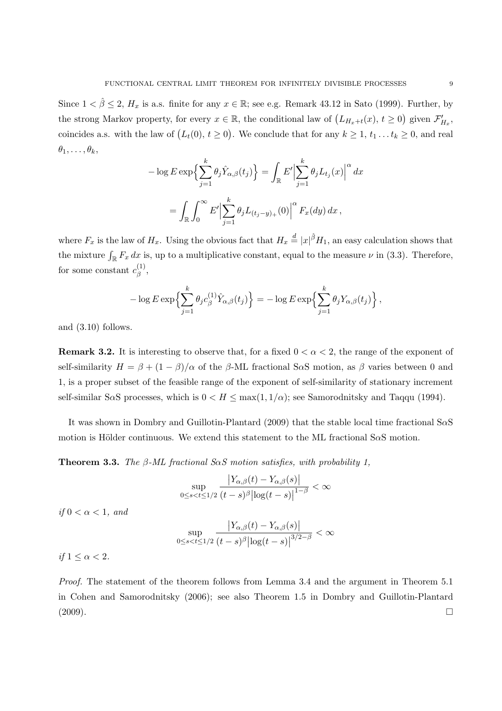Since  $1 < \hat{\beta} \leq 2$ ,  $H_x$  is a.s. finite for any  $x \in \mathbb{R}$ ; see e.g. Remark 43.12 in Sato (1999). Further, by the strong Markov property, for every  $x \in \mathbb{R}$ , the conditional law of  $(L_{H_x+t}(x), t \ge 0)$  given  $\mathcal{F}'_{H_x}$ , coincides a.s. with the law of  $(L_t(0), t \ge 0)$ . We conclude that for any  $k \ge 1, t_1 \dots t_k \ge 0$ , and real  $\theta_1, \ldots, \theta_k$ 

$$
-\log E \exp\left\{\sum_{j=1}^k \theta_j \hat{Y}_{\alpha,\beta}(t_j)\right\} = \int_{\mathbb{R}} E' \Big|\sum_{j=1}^k \theta_j L_{t_j}(x)\Big|^{\alpha} dx
$$

$$
= \int_{\mathbb{R}} \int_0^{\infty} E' \Big|\sum_{j=1}^k \theta_j L_{(t_j-y)_+}(0)\Big|^{\alpha} F_x(dy) dx,
$$

where  $F_x$  is the law of  $H_x$ . Using the obvious fact that  $H_x \stackrel{d}{=} |x|^{\hat{\beta}} H_1$ , an easy calculation shows that the mixture  $\int_{\mathbb{R}} F_x dx$  is, up to a multiplicative constant, equal to the measure  $\nu$  in (3.3). Therefore, for some constant  $c_{\beta}^{(1)}$ *β* ,

$$
-\log E \exp\left\{\sum_{j=1}^k \theta_j c_\beta^{(1)} \hat{Y}_{\alpha,\beta}(t_j)\right\} = -\log E \exp\left\{\sum_{j=1}^k \theta_j Y_{\alpha,\beta}(t_j)\right\},\,
$$

and (3.10) follows.

**Remark 3.2.** It is interesting to observe that, for a fixed  $0 < \alpha < 2$ , the range of the exponent of self-similarity  $H = \beta + (1 - \beta)/\alpha$  of the  $\beta$ -ML fractional S $\alpha$ S motion, as  $\beta$  varies between 0 and 1, is a proper subset of the feasible range of the exponent of self-similarity of stationary increment self-similar S*α*S processes, which is  $0 < H \le \max(1, 1/\alpha)$ ; see Samorodnitsky and Taqqu (1994).

It was shown in Dombry and Guillotin-Plantard (2009) that the stable local time fractional S*α*S motion is Hölder continuous. We extend this statement to the ML fractional S $\alpha$ S motion.

**Theorem 3.3.** *The β-ML fractional SαS motion satisfies, with probability 1,*

$$
\sup_{0\leq s
$$

*if*  $0 < \alpha < 1$ *, and* 

$$
\sup_{0\leq s
$$

*if*  $1 < \alpha < 2$ *.* 

*Proof.* The statement of the theorem follows from Lemma 3.4 and the argument in Theorem 5.1 in Cohen and Samorodnitsky (2006); see also Theorem 1.5 in Dombry and Guillotin-Plantard  $(2009).$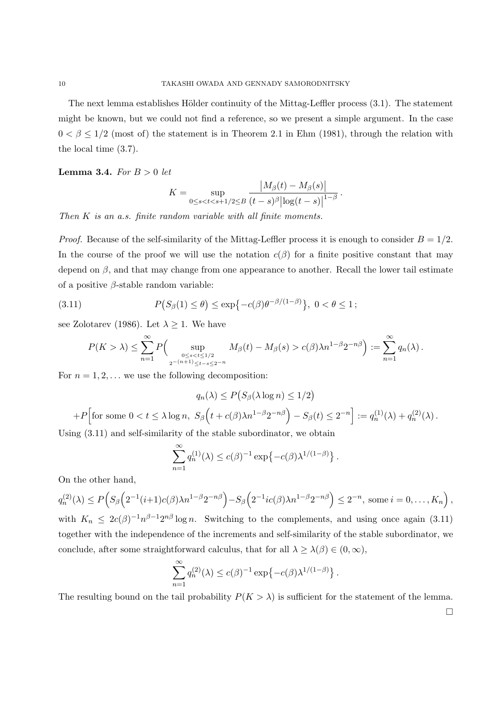The next lemma establishes Hölder continuity of the Mittag-Leffler process  $(3.1)$ . The statement might be known, but we could not find a reference, so we present a simple argument. In the case  $0 < \beta \leq 1/2$  (most of) the statement is in Theorem 2.1 in Ehm (1981), through the relation with the local time (3.7).

**Lemma 3.4.** *For B >* 0 *let*

$$
K = \sup_{0 \le s < t < s+1/2 \le B} \frac{|M_{\beta}(t) - M_{\beta}(s)|}{(t - s)^{\beta} |\log(t - s)|^{1 - \beta}}.
$$

*Then K is an a.s. finite random variable with all finite moments.*

*Proof.* Because of the self-similarity of the Mittag-Leffler process it is enough to consider  $B = 1/2$ . In the course of the proof we will use the notation  $c(\beta)$  for a finite positive constant that may depend on *β*, and that may change from one appearance to another. Recall the lower tail estimate of a positive *β*-stable random variable:

(3.11) 
$$
P(S_{\beta}(1) \leq \theta) \leq \exp\{-c(\beta)\theta^{-\beta/(1-\beta)}\}, \ 0 < \theta \leq 1;
$$

see Zolotarev (1986). Let  $\lambda \geq 1$ . We have

$$
P(K > \lambda) \leq \sum_{n=1}^{\infty} P\Big( \sup_{\substack{0 \leq s < t \leq 1/2 \\ 2^{-(n+1)} \leq t-s \leq 2^{-n}}} M_{\beta}(t) - M_{\beta}(s) > c(\beta) \lambda n^{1-\beta} 2^{-n\beta} \Big) := \sum_{n=1}^{\infty} q_n(\lambda).
$$

For  $n = 1, 2, \ldots$  we use the following decomposition:

$$
q_n(\lambda) \le P\big(S_\beta(\lambda \log n) \le 1/2\big)
$$
  
+P\Big[for some  $0 < t \le \lambda \log n$ ,  $S_\beta\Big(t + c(\beta)\lambda n^{1-\beta}2^{-n\beta}\Big) - S_\beta(t) \le 2^{-n}\Big] := q_n^{(1)}(\lambda) + q_n^{(2)}(\lambda)$ .

Using (3.11) and self-similarity of the stable subordinator, we obtain

$$
\sum_{n=1}^{\infty} q_n^{(1)}(\lambda) \le c(\beta)^{-1} \exp\{-c(\beta)\lambda^{1/(1-\beta)}\}.
$$

On the other hand,

$$
q_n^{(2)}(\lambda) \le P\Big(S_\beta\Big(2^{-1}(i+1)c(\beta)\lambda n^{1-\beta}2^{-n\beta}\Big) - S_\beta\Big(2^{-1}ic(\beta)\lambda n^{1-\beta}2^{-n\beta}\Big) \le 2^{-n}, \text{ some } i = 0, \dots, K_n\Big),
$$

with  $K_n \leq 2c(\beta)^{-1} n^{\beta-1} 2^{n\beta} \log n$ . Switching to the complements, and using once again (3.11) together with the independence of the increments and self-similarity of the stable subordinator, we conclude, after some straightforward calculus, that for all  $\lambda \geq \lambda(\beta) \in (0, \infty)$ ,

$$
\sum_{n=1}^{\infty} q_n^{(2)}(\lambda) \le c(\beta)^{-1} \exp \{-c(\beta)\lambda^{1/(1-\beta)}\}.
$$

The resulting bound on the tail probability  $P(K > \lambda)$  is sufficient for the statement of the lemma.

 $\Box$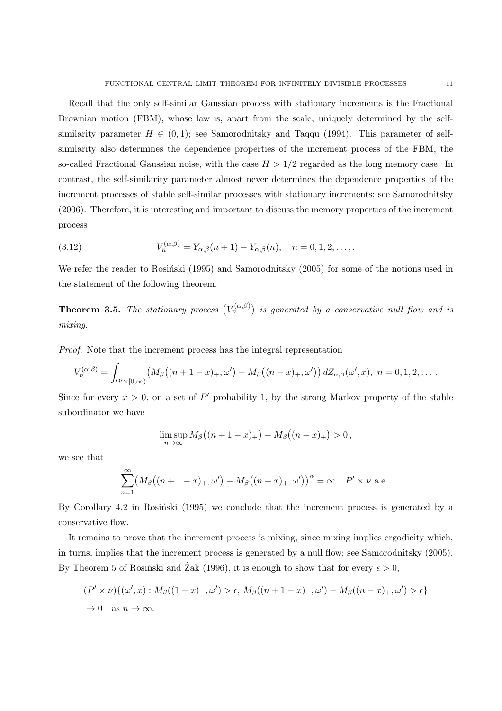Recall that the only self-similar Gaussian process with stationary increments is the Fractional Brownian motion (FBM), whose law is, apart from the scale, uniquely determined by the selfsimilarity parameter  $H \in (0,1)$ ; see Samorodnitsky and Taqqu (1994). This parameter of selfsimilarity also determines the dependence properties of the increment process of the FBM, the so-called Fractional Gaussian noise, with the case  $H > 1/2$  regarded as the long memory case. In contrast, the self-similarity parameter almost never determines the dependence properties of the increment processes of stable self-similar processes with stationary increments; see Samorodnitsky (2006). Therefore, it is interesting and important to discuss the memory properties of the increment process

(3.12) 
$$
V_n^{(\alpha,\beta)} = Y_{\alpha,\beta}(n+1) - Y_{\alpha,\beta}(n), \quad n = 0, 1, 2, \dots
$$

We refer the reader to Rosinski (1995) and Samorodnitsky (2005) for some of the notions used in the statement of the following theorem.

**Theorem 3.5.** *The stationary process*  $(V_n^{(\alpha,\beta)})$  *is generated by a conservative null flow and is mixing.*

*Proof.* Note that the increment process has the integral representation

$$
V_n^{(\alpha,\beta)} = \int_{\Omega' \times [0,\infty)} \left( M_\beta\big((n+1-x)_+, \omega'\big) - M_\beta\big((n-x)_+, \omega'\big)\right) dZ_{\alpha,\beta}(\omega',x), \ \ n=0,1,2,\ldots.
$$

Since for every  $x > 0$ , on a set of P' probability 1, by the strong Markov property of the stable subordinator we have

$$
\limsup_{n\to\infty}M_\beta\big((n+1-x)_+\big)-M_\beta\big((n-x)_+\big)>0\,,
$$

we see that

$$
\sum_{n=1}^{\infty} \left( M_{\beta} \left( (n+1-x)_{+}, \omega' \right) - M_{\beta} \left( (n-x)_{+}, \omega' \right) \right)^{\alpha} = \infty \quad P' \times \nu \text{ a.e.}.
$$

By Corollary  $4.2$  in Rosinski (1995) we conclude that the increment process is generated by a conservative flow.

It remains to prove that the increment process is mixing, since mixing implies ergodicity which, in turns, implies that the increment process is generated by a null flow; see Samorodnitsky (2005). By Theorem 5 of Rosiński and  $\operatorname{Zak}$  (1996), it is enough to show that for every  $\epsilon > 0$ ,

$$
(P' \times \nu)\{(\omega', x) : M_{\beta}((1-x)_{+}, \omega') > \epsilon, M_{\beta}((n+1-x)_{+}, \omega') - M_{\beta}((n-x)_{+}, \omega') > \epsilon\}
$$
  
\n
$$
\rightarrow 0 \text{ as } n \rightarrow \infty.
$$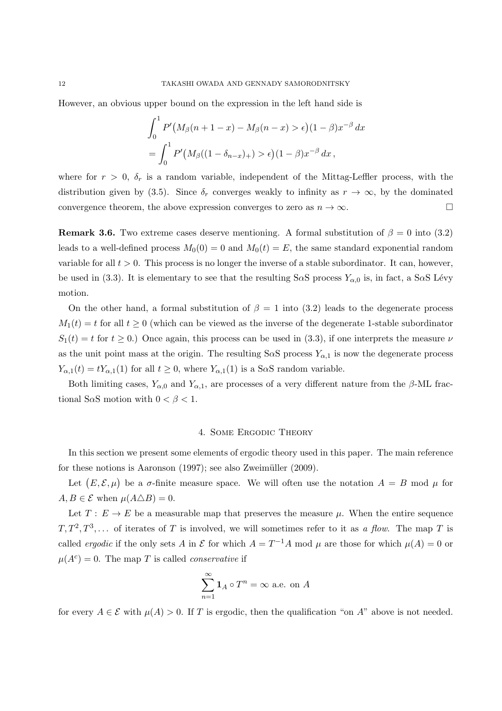However, an obvious upper bound on the expression in the left hand side is

$$
\int_0^1 P'(M_\beta(n+1-x) - M_\beta(n-x) > \epsilon) (1-\beta) x^{-\beta} \, dx
$$
\n
$$
= \int_0^1 P'(M_\beta((1-\delta_{n-x})_+) > \epsilon) (1-\beta) x^{-\beta} \, dx \, ,
$$

where for  $r > 0$ ,  $\delta_r$  is a random variable, independent of the Mittag-Leffler process, with the distribution given by (3.5). Since  $\delta_r$  converges weakly to infinity as  $r \to \infty$ , by the dominated convergence theorem, the above expression converges to zero as  $n \to \infty$ .

**Remark 3.6.** Two extreme cases deserve mentioning. A formal substitution of  $\beta = 0$  into (3.2) leads to a well-defined process  $M_0(0) = 0$  and  $M_0(t) = E$ , the same standard exponential random variable for all  $t > 0$ . This process is no longer the inverse of a stable subordinator. It can, however, be used in (3.3). It is elementary to see that the resulting S $\alpha$ S process  $Y_{\alpha,0}$  is, in fact, a S $\alpha$ S Lévy motion.

On the other hand, a formal substitution of  $\beta = 1$  into (3.2) leads to the degenerate process  $M_1(t) = t$  for all  $t \geq 0$  (which can be viewed as the inverse of the degenerate 1-stable subordinator  $S_1(t) = t$  for  $t \geq 0$ .) Once again, this process can be used in (3.3), if one interprets the measure *ν* as the unit point mass at the origin. The resulting  $S \alpha S$  process  $Y_{\alpha,1}$  is now the degenerate process  $Y_{\alpha,1}(t) = tY_{\alpha,1}(1)$  for all  $t \geq 0$ , where  $Y_{\alpha,1}(1)$  is a S*α*S random variable.

Both limiting cases,  $Y_{\alpha,0}$  and  $Y_{\alpha,1}$ , are processes of a very different nature from the  $\beta$ -ML fractional S $\alpha$ S motion with  $0 < \beta < 1$ .

### 4. Some Ergodic Theory

In this section we present some elements of ergodic theory used in this paper. The main reference for these notions is Aaronson  $(1997)$ ; see also Zweimüller  $(2009)$ .

Let  $(E, \mathcal{E}, \mu)$  be a *σ*-finite measure space. We will often use the notation  $A = B$  mod  $\mu$  for  $A, B \in \mathcal{E}$  when  $\mu(A \triangle B) = 0$ .

Let  $T: E \to E$  be a measurable map that preserves the measure  $\mu$ . When the entire sequence  $T, T^2, T^3, \ldots$  of iterates of *T* is involved, we will sometimes refer to it as *a flow*. The map *T* is called *ergodic* if the only sets *A* in  $\mathcal E$  for which  $A = T^{-1}A$  mod  $\mu$  are those for which  $\mu(A) = 0$  or  $\mu(A^c) = 0$ . The map *T* is called *conservative* if

$$
\sum_{n=1}^{\infty} \mathbf{1}_A \circ T^n = \infty \text{ a.e. on } A
$$

for every  $A \in \mathcal{E}$  with  $\mu(A) > 0$ . If *T* is ergodic, then the qualification "on *A*" above is not needed.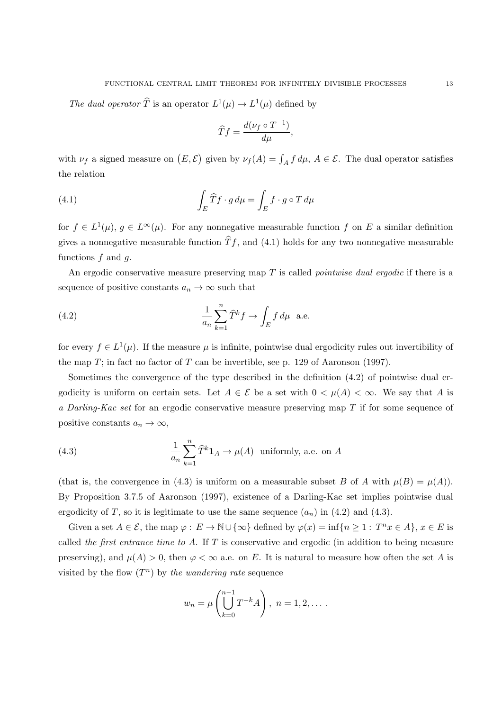The dual operator  $\hat{T}$  is an operator  $L^1(\mu) \to L^1(\mu)$  defined by

$$
\widehat{T}f = \frac{d(\nu_f \circ T^{-1})}{d\mu},
$$

with  $\nu_f$  a signed measure on  $(E, \mathcal{E})$  given by  $\nu_f(A) = \int_A f d\mu$ ,  $A \in \mathcal{E}$ . The dual operator satisfies the relation

(4.1) 
$$
\int_{E} \widehat{T} f \cdot g d\mu = \int_{E} f \cdot g \circ T d\mu
$$

for  $f \in L^1(\mu)$ ,  $g \in L^{\infty}(\mu)$ . For any nonnegative measurable function f on E a similar definition gives a nonnegative measurable function  $\hat{T}f$ , and (4.1) holds for any two nonnegative measurable functions *f* and *g*.

An ergodic conservative measure preserving map *T* is called *pointwise dual ergodic* if there is a sequence of positive constants  $a_n \to \infty$  such that

(4.2) 
$$
\frac{1}{a_n} \sum_{k=1}^n \widehat{T}^k f \to \int_E f d\mu \quad \text{a.e.}
$$

for every  $f \in L^1(\mu)$ . If the measure  $\mu$  is infinite, pointwise dual ergodicity rules out invertibility of the map  $T$ ; in fact no factor of  $T$  can be invertible, see p. 129 of Aaronson (1997).

Sometimes the convergence of the type described in the definition (4.2) of pointwise dual ergodicity is uniform on certain sets. Let  $A \in \mathcal{E}$  be a set with  $0 \lt \mu(A) \lt \infty$ . We say that A is *a Darling-Kac set* for an ergodic conservative measure preserving map *T* if for some sequence of positive constants  $a_n \to \infty$ ,

(4.3) 
$$
\frac{1}{a_n} \sum_{k=1}^n \widehat{T}^k \mathbf{1}_A \to \mu(A) \text{ uniformly, a.e. on } A
$$

(that is, the convergence in (4.3) is uniform on a measurable subset *B* of *A* with  $\mu(B) = \mu(A)$ ). By Proposition 3.7.5 of Aaronson (1997), existence of a Darling-Kac set implies pointwise dual ergodicity of *T*, so it is legitimate to use the same sequence  $(a_n)$  in (4.2) and (4.3).

Given a set  $A \in \mathcal{E}$ , the map  $\varphi : E \to \mathbb{N} \cup \{\infty\}$  defined by  $\varphi(x) = \inf\{n \geq 1 : T^n x \in A\}$ ,  $x \in E$  is called *the first entrance time to A*. If *T* is conservative and ergodic (in addition to being measure preserving), and  $\mu(A) > 0$ , then  $\varphi < \infty$  a.e. on *E*. It is natural to measure how often the set *A* is visited by the flow  $(T^n)$  by *the wandering rate* sequence

$$
w_n = \mu \left( \bigcup_{k=0}^{n-1} T^{-k} A \right), \ n = 1, 2, \dots
$$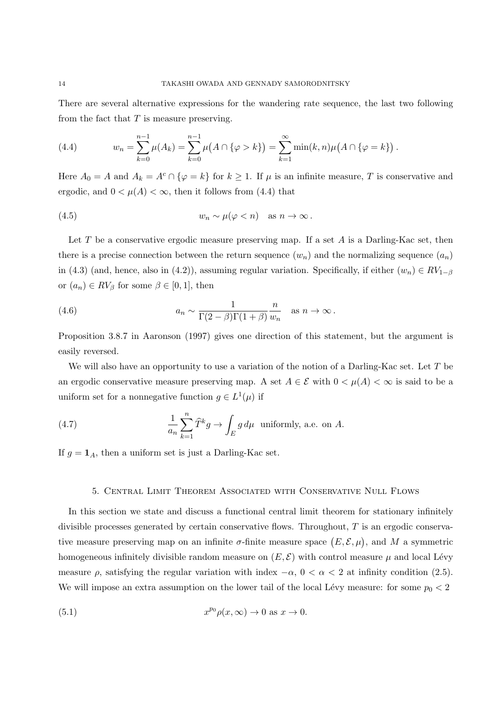There are several alternative expressions for the wandering rate sequence, the last two following from the fact that *T* is measure preserving.

(4.4) 
$$
w_n = \sum_{k=0}^{n-1} \mu(A_k) = \sum_{k=0}^{n-1} \mu(A \cap \{\varphi > k\}) = \sum_{k=1}^{\infty} \min(k, n) \mu(A \cap \{\varphi = k\}).
$$

Here  $A_0 = A$  and  $A_k = A^c \cap {\varphi = k}$  for  $k \ge 1$ . If  $\mu$  is an infinite measure, *T* is conservative and ergodic, and  $0 < \mu(A) < \infty$ , then it follows from (4.4) that

(4.5) 
$$
w_n \sim \mu(\varphi < n) \quad \text{as } n \to \infty \, .
$$

Let *T* be a conservative ergodic measure preserving map. If a set *A* is a Darling-Kac set, then there is a precise connection between the return sequence  $(w_n)$  and the normalizing sequence  $(a_n)$ in (4.3) (and, hence, also in (4.2)), assuming regular variation. Specifically, if either  $(w_n) \in RV_{1-\beta}$ or  $(a_n) \in RV_\beta$  for some  $\beta \in [0,1]$ , then

(4.6) 
$$
a_n \sim \frac{1}{\Gamma(2-\beta)\Gamma(1+\beta)} \frac{n}{w_n} \text{ as } n \to \infty.
$$

Proposition 3.8.7 in Aaronson (1997) gives one direction of this statement, but the argument is easily reversed.

We will also have an opportunity to use a variation of the notion of a Darling-Kac set. Let *T* be an ergodic conservative measure preserving map. A set  $A \in \mathcal{E}$  with  $0 \lt \mu(A) \lt \infty$  is said to be a uniform set for a nonnegative function  $g \in L^1(\mu)$  if

(4.7) 
$$
\frac{1}{a_n} \sum_{k=1}^n \widehat{T}^k g \to \int_E g d\mu \text{ uniformly, a.e. on } A.
$$

If  $g = \mathbf{1}_A$ , then a uniform set is just a Darling-Kac set.

### 5. Central Limit Theorem Associated with Conservative Null Flows

In this section we state and discuss a functional central limit theorem for stationary infinitely divisible processes generated by certain conservative flows. Throughout, *T* is an ergodic conservative measure preserving map on an infinite  $\sigma$ -finite measure space  $(E, \mathcal{E}, \mu)$ , and M a symmetric homogeneous infinitely divisible random measure on  $(E, \mathcal{E})$  with control measure  $\mu$  and local Lévy measure  $\rho$ , satisfying the regular variation with index  $-\alpha$ ,  $0 < \alpha < 2$  at infinity condition (2.5). We will impose an extra assumption on the lower tail of the local Lévy measure: for some  $p_0 < 2$ 

(5.1) 
$$
x^{p_0} \rho(x, \infty) \to 0 \text{ as } x \to 0.
$$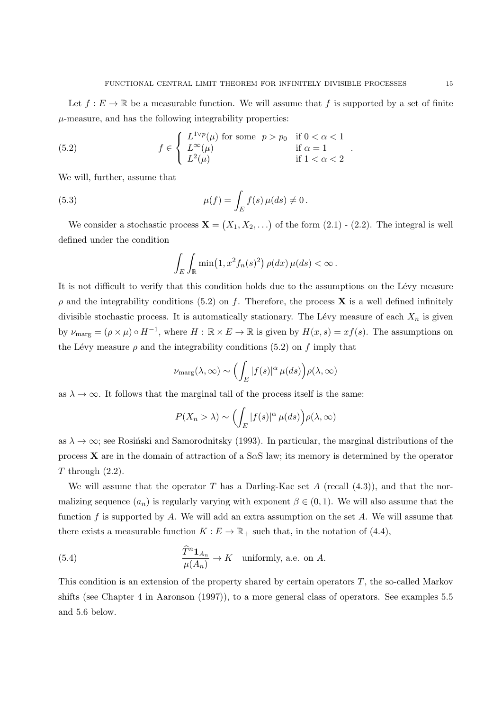Let  $f: E \to \mathbb{R}$  be a measurable function. We will assume that f is supported by a set of finite  $\mu$ -measure, and has the following integrability properties:

*.*

(5.2) 
$$
f \in \begin{cases} L^{1 \vee p}(\mu) \text{ for some } p > p_0 & \text{if } 0 < \alpha < 1 \\ L^{\infty}(\mu) & \text{if } \alpha = 1 \\ L^2(\mu) & \text{if } 1 < \alpha < 2 \end{cases}
$$

We will, further, assume that

(5.3) 
$$
\mu(f) = \int_E f(s) \, \mu(ds) \neq 0 \, .
$$

We consider a stochastic process  $\mathbf{X} = (X_1, X_2, \ldots)$  of the form  $(2.1)$  -  $(2.2)$ . The integral is well defined under the condition

$$
\int_E \int_{\mathbb{R}} \min(1, x^2 f_n(s)^2) \, \rho(dx) \, \mu(ds) < \infty \, .
$$

It is not difficult to verify that this condition holds due to the assumptions on the Lévy measure  $\rho$  and the integrability conditions (5.2) on *f*. Therefore, the process **X** is a well defined infinitely divisible stochastic process. It is automatically stationary. The Lévy measure of each  $X_n$  is given by  $\nu_{\text{marg}} = (\rho \times \mu) \circ H^{-1}$ , where  $H : \mathbb{R} \times E \to \mathbb{R}$  is given by  $H(x, s) = xf(s)$ . The assumptions on the Lévy measure  $\rho$  and the integrability conditions (5.2) on  $f$  imply that

$$
\nu_{\rm marg}(\lambda,\infty) \sim \left(\int_E |f(s)|^\alpha \mu(ds)\right) \rho(\lambda,\infty)
$$

as  $\lambda \to \infty$ . It follows that the marginal tail of the process itself is the same:

$$
P(X_n > \lambda) \sim \left( \int_E |f(s)|^\alpha \mu(ds) \right) \rho(\lambda, \infty)
$$

as  $\lambda \to \infty$ ; see Rosinski and Samorodnitsky (1993). In particular, the marginal distributions of the process **X** are in the domain of attraction of a S*α*S law; its memory is determined by the operator *T* through (2.2).

We will assume that the operator *T* has a Darling-Kac set *A* (recall  $(4.3)$ ), and that the normalizing sequence  $(a_n)$  is regularly varying with exponent  $\beta \in (0,1)$ . We will also assume that the function *f* is supported by *A*. We will add an extra assumption on the set *A*. We will assume that there exists a measurable function  $K : E \to \mathbb{R}_+$  such that, in the notation of (4.4),

(5.4) 
$$
\frac{\widehat{T}^n \mathbf{1}_{A_n}}{\mu(A_n)} \to K \quad \text{uniformly, a.e. on } A.
$$

This condition is an extension of the property shared by certain operators *T*, the so-called Markov shifts (see Chapter 4 in Aaronson (1997)), to a more general class of operators. See examples 5.5 and 5.6 below.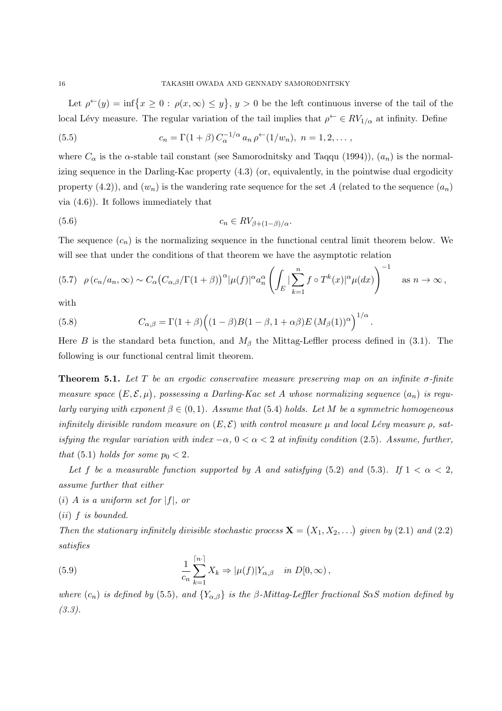Let  $\rho^{\leftarrow}(y) = \inf\{x \geq 0 : \rho(x,\infty) \leq y\}, y > 0$  be the left continuous inverse of the tail of the local Lévy measure. The regular variation of the tail implies that  $\rho^{\leftarrow} \in RV_{1/\alpha}$  at infinity. Define

(5.5) 
$$
c_n = \Gamma(1+\beta) C_{\alpha}^{-1/\alpha} a_n \rho^{\leftarrow}(1/w_n), \quad n = 1, 2, \dots,
$$

where  $C_{\alpha}$  is the *α*-stable tail constant (see Samorodnitsky and Taqqu (1994)),  $(a_n)$  is the normalizing sequence in the Darling-Kac property (4.3) (or, equivalently, in the pointwise dual ergodicity property  $(4.2)$ , and  $(w_n)$  is the wandering rate sequence for the set *A* (related to the sequence  $(a_n)$ ) via (4.6)). It follows immediately that

$$
(5.6) \t\t\t c_n \in RV_{\beta + (1-\beta)/\alpha}.
$$

The sequence  $(c_n)$  is the normalizing sequence in the functional central limit theorem below. We will see that under the conditions of that theorem we have the asymptotic relation

$$
(5.7) \quad \rho(c_n/a_n, \infty) \sim C_{\alpha} \big( C_{\alpha,\beta} / \Gamma(1+\beta) \big)^{\alpha} |\mu(f)|^{\alpha} a_n^{\alpha} \left( \int_E |\sum_{k=1}^n f \circ T^k(x)|^{\alpha} \mu(dx) \right)^{-1} \quad \text{as } n \to \infty,
$$

with

(5.8) 
$$
C_{\alpha,\beta} = \Gamma(1+\beta)\Big((1-\beta)B(1-\beta,1+\alpha\beta)E(M_{\beta}(1))^{\alpha}\Big)^{1/\alpha}.
$$

Here *B* is the standard beta function, and  $M_\beta$  the Mittag-Leffler process defined in (3.1). The following is our functional central limit theorem.

**Theorem 5.1.** *Let T be an ergodic conservative measure preserving map on an infinite σ-finite measure space*  $(E, \mathcal{E}, \mu)$ , possessing a Darling-Kac set A whose normalizing sequence  $(a_n)$  is regu*larly varying with exponent*  $\beta \in (0,1)$ *. Assume that* (5.4) *holds. Let M be a symmetric homogeneous infinitely divisible random measure on*  $(E, \mathcal{E})$  *with control measure*  $\mu$  *and local Lévy measure*  $\rho$ *, satisfying the regular variation with index*  $-\alpha$ ,  $0 < \alpha < 2$  *at infinity condition* (2.5). Assume, further, *that* (5.1) *holds for some*  $p_0 < 2$ *.* 

*Let f be a measurable function supported by A and satisfying* (5.2) *and* (5.3)*. If*  $1 < \alpha < 2$ *, assume further that either*

 $(i)$  *A is a uniform set for*  $|f|$ *, or* 

(*ii*) *f is bounded.*

*Then the stationary infinitely divisible stochastic process*  $\mathbf{X} = (X_1, X_2, ...)$  given by (2.1) and (2.2) *satisfies*

(5.9) 
$$
\frac{1}{c_n}\sum_{k=1}^{\lceil n \cdot \rceil} X_k \Rightarrow |\mu(f)| Y_{\alpha,\beta} \quad in \ D[0,\infty),
$$

*where*  $(c_n)$  *is defined by* (5.5)*, and*  ${Y_{\alpha,\beta}}$  *is the*  $\beta$ *-Mittag-Leffler fractional S* $\alpha S$  *motion defined by (3.3).*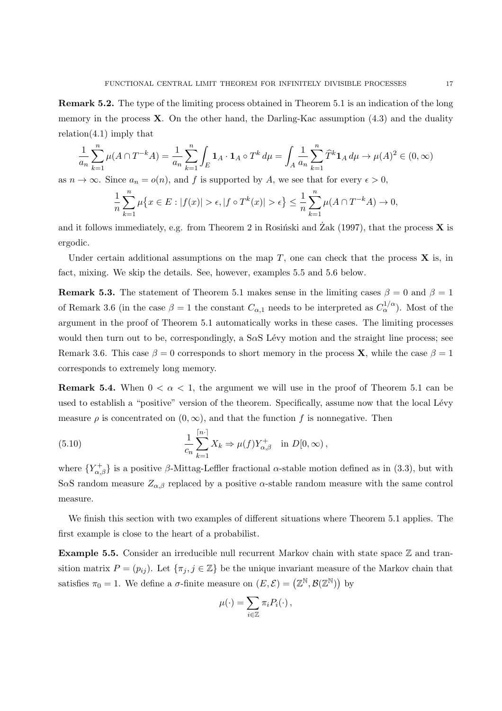**Remark 5.2.** The type of the limiting process obtained in Theorem 5.1 is an indication of the long memory in the process **X**. On the other hand, the Darling-Kac assumption (4.3) and the duality  $relation(4.1)$  imply that

$$
\frac{1}{a_n} \sum_{k=1}^n \mu(A \cap T^{-k}A) = \frac{1}{a_n} \sum_{k=1}^n \int_E \mathbf{1}_A \cdot \mathbf{1}_A \circ T^k d\mu = \int_A \frac{1}{a_n} \sum_{k=1}^n \widehat{T}^k \mathbf{1}_A d\mu \to \mu(A)^2 \in (0, \infty)
$$

as  $n \to \infty$ . Since  $a_n = o(n)$ , and f is supported by A, we see that for every  $\epsilon > 0$ ,

$$
\frac{1}{n}\sum_{k=1}^{n}\mu\{x \in E : |f(x)| > \epsilon, |f \circ T^k(x)| > \epsilon\} \le \frac{1}{n}\sum_{k=1}^{n}\mu(A \cap T^{-k}A) \to 0,
$$

and it follows immediately, e.g. from Theorem 2 in Rosinski and  $\operatorname{Zak}$  (1997), that the process **X** is ergodic.

Under certain additional assumptions on the map  $T$ , one can check that the process  $\bf{X}$  is, in fact, mixing. We skip the details. See, however, examples 5.5 and 5.6 below.

**Remark 5.3.** The statement of Theorem 5.1 makes sense in the limiting cases  $\beta = 0$  and  $\beta = 1$ of Remark 3.6 (in the case  $\beta = 1$  the constant  $C_{\alpha,1}$  needs to be interpreted as  $C_{\alpha}^{1/\alpha}$ ). Most of the argument in the proof of Theorem 5.1 automatically works in these cases. The limiting processes would then turn out to be, correspondingly, a  $S\alpha S$  Lévy motion and the straight line process; see Remark 3.6. This case  $\beta = 0$  corresponds to short memory in the process **X**, while the case  $\beta = 1$ corresponds to extremely long memory.

**Remark 5.4.** When  $0 < \alpha < 1$ , the argument we will use in the proof of Theorem 5.1 can be used to establish a "positive" version of the theorem. Specifically, assume now that the local Lévy measure  $\rho$  is concentrated on  $(0, \infty)$ , and that the function  $f$  is nonnegative. Then

(5.10) 
$$
\frac{1}{c_n} \sum_{k=1}^{\lceil n \rceil} X_k \Rightarrow \mu(f) Y_{\alpha, \beta}^+ \text{ in } D[0, \infty),
$$

where  ${Y_{\alpha,\beta}^+}$  is a positive *β*-Mittag-Leffler fractional *α*-stable motion defined as in (3.3), but with S $\alpha$ S random measure  $Z_{\alpha,\beta}$  replaced by a positive  $\alpha$ -stable random measure with the same control measure.

We finish this section with two examples of different situations where Theorem 5.1 applies. The first example is close to the heart of a probabilist.

**Example 5.5.** Consider an irreducible null recurrent Markov chain with state space  $\mathbb{Z}$  and transition matrix  $P = (p_{ij})$ . Let  $\{\pi_j, j \in \mathbb{Z}\}\$  be the unique invariant measure of the Markov chain that satisfies  $\pi_0 = 1$ . We define a  $\sigma$ -finite measure on  $(E, \mathcal{E}) = (\mathbb{Z}^{\mathbb{N}}, \mathcal{B}(\mathbb{Z}^{\mathbb{N}}))$  by

$$
\mu(\cdot) = \sum_{i \in \mathbb{Z}} \pi_i P_i(\cdot) \,,
$$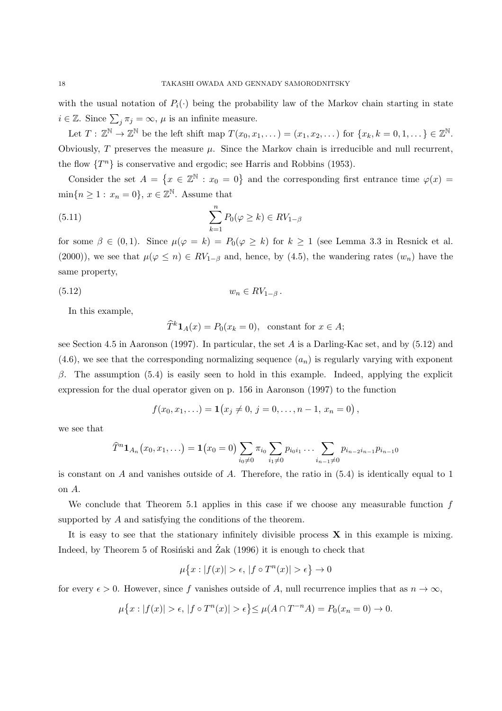with the usual notation of  $P_i(\cdot)$  being the probability law of the Markov chain starting in state  $i \in \mathbb{Z}$ . Since  $\sum_{j} \pi_j = \infty$ ,  $\mu$  is an infinite measure.

Let  $T: \mathbb{Z}^{\mathbb{N}} \to \mathbb{Z}^{\mathbb{N}}$  be the left shift map  $T(x_0, x_1, \ldots) = (x_1, x_2, \ldots)$  for  $\{x_k, k = 0, 1, \ldots\} \in \mathbb{Z}^{\mathbb{N}}$ . Obviously,  $T$  preserves the measure  $\mu$ . Since the Markov chain is irreducible and null recurrent, the flow  $\{T^n\}$  is conservative and ergodic; see Harris and Robbins (1953).

Consider the set  $A = \{x \in \mathbb{Z}^{\mathbb{N}} : x_0 = 0\}$  and the corresponding first entrance time  $\varphi(x) =$  $\min\{n \geq 1 : x_n = 0\}, x \in \mathbb{Z}^{\mathbb{N}}.$  Assume that

(5.11) 
$$
\sum_{k=1}^{n} P_0(\varphi \ge k) \in RV_{1-\beta}
$$

for some  $\beta \in (0,1)$ . Since  $\mu(\varphi = k) = P_0(\varphi \geq k)$  for  $k \geq 1$  (see Lemma 3.3 in Resnick et al. (2000)), we see that  $\mu(\varphi \leq n) \in RV_{1-\beta}$  and, hence, by (4.5), the wandering rates  $(w_n)$  have the same property,

$$
(5.12) \t\t\t w_n \in RV_{1-\beta}.
$$

In this example,

$$
\widehat{T}^k \mathbf{1}_A(x) = P_0(x_k = 0), \text{ constant for } x \in A;
$$

see Section 4.5 in Aaronson (1997). In particular, the set *A* is a Darling-Kac set, and by (5.12) and  $(4.6)$ , we see that the corresponding normalizing sequence  $(a_n)$  is regularly varying with exponent *β*. The assumption (5*.*4) is easily seen to hold in this example. Indeed, applying the explicit expression for the dual operator given on p. 156 in Aaronson (1997) to the function

$$
f(x_0, x_1,...) = \mathbf{1}(x_j \neq 0, j = 0,..., n-1, x_n = 0),
$$

we see that

$$
\widehat{T}^n \mathbf{1}_{A_n}(x_0, x_1, \ldots) = \mathbf{1}(x_0 = 0) \sum_{i_0 \neq 0} \pi_{i_0} \sum_{i_1 \neq 0} p_{i_0 i_1} \ldots \sum_{i_{n-1} \neq 0} p_{i_{n-2} i_{n-1}} p_{i_{n-1} 0}
$$

is constant on *A* and vanishes outside of *A*. Therefore, the ratio in (5.4) is identically equal to 1 on *A*.

We conclude that Theorem 5.1 applies in this case if we choose any measurable function *f* supported by *A* and satisfying the conditions of the theorem.

It is easy to see that the stationary infinitely divisible process **X** in this example is mixing. Indeed, by Theorem 5 of Rosiński and  $\operatorname{Zak}$  (1996) it is enough to check that

$$
\mu\big\{x:|f(x)|>\epsilon,\,|f\circ T^n(x)|>\epsilon\big\}\to 0
$$

for every  $\epsilon > 0$ . However, since f vanishes outside of A, null recurrence implies that as  $n \to \infty$ ,

$$
\mu\{x : |f(x)| > \epsilon, |f \circ T^n(x)| > \epsilon\} \le \mu(A \cap T^{-n}A) = P_0(x_n = 0) \to 0.
$$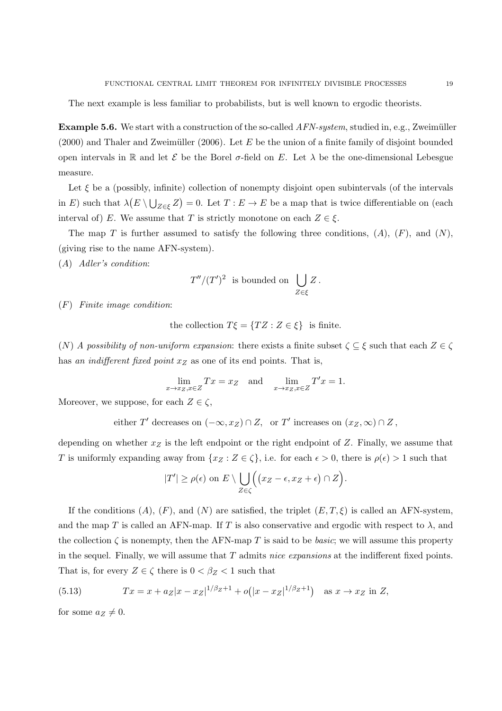The next example is less familiar to probabilists, but is well known to ergodic theorists.

**Example 5.6.** We start with a construction of the so-called *AFN-system*, studied in, e.g., Zweimüller  $(2000)$  and Thaler and Zweimüller  $(2006)$ . Let *E* be the union of a finite family of disjoint bounded open intervals in  $\mathbb R$  and let  $\mathcal E$  be the Borel  $\sigma$ -field on E. Let  $\lambda$  be the one-dimensional Lebesgue measure.

Let  $\xi$  be a (possibly, infinite) collection of nonempty disjoint open subintervals (of the intervals in *E*) such that  $\lambda(E \setminus \bigcup_{Z \in \xi} Z) = 0$ . Let  $T : E \to E$  be a map that is twice differentiable on (each interval of) *E*. We assume that *T* is strictly monotone on each  $Z \in \xi$ .

The map *T* is further assumed to satisfy the following three conditions,  $(A)$ ,  $(F)$ , and  $(N)$ , (giving rise to the name AFN-system).

(*A*) *Adler's condition*:

$$
T''/(T')^2
$$
 is bounded on  $\bigcup_{Z \in \xi} Z$ .

(*F*) *Finite image condition*:

the collection 
$$
T\xi = \{TZ : Z \in \xi\}
$$
 is finite.

(*N*) *A possibility of non-uniform expansion*: there exists a finite subset  $\zeta \subseteq \xi$  such that each  $Z \in \zeta$ has *an indifferent fixed point x<sup>Z</sup>* as one of its end points. That is,

$$
\lim_{x \to x_Z, x \in Z} Tx = x_Z \quad \text{and} \quad \lim_{x \to x_Z, x \in Z} T'x = 1.
$$

Moreover, we suppose, for each  $Z \in \zeta$ ,

either T' decreases on 
$$
(-\infty, x_Z) \cap Z
$$
, or T' increases on  $(x_Z, \infty) \cap Z$ ,

depending on whether *x<sup>Z</sup>* is the left endpoint or the right endpoint of *Z*. Finally, we assume that *T* is uniformly expanding away from  $\{x_Z : Z \in \zeta\}$ , i.e. for each  $\epsilon > 0$ , there is  $\rho(\epsilon) > 1$  such that

$$
|T'| \ge \rho(\epsilon) \text{ on } E \setminus \bigcup_{Z \in \zeta} \Big( \big(x_Z - \epsilon, x_Z + \epsilon\big) \cap Z\Big).
$$

If the conditions  $(A)$ ,  $(F)$ , and  $(N)$  are satisfied, the triplet  $(E, T, \xi)$  is called an AFN-system, and the map *T* is called an AFN-map. If *T* is also conservative and ergodic with respect to  $\lambda$ , and the collection  $\zeta$  is nonempty, then the AFN-map *T* is said to be *basic*; we will assume this property in the sequel. Finally, we will assume that *T* admits *nice expansions* at the indifferent fixed points. That is, for every  $Z \in \zeta$  there is  $0 < \beta_Z < 1$  such that

(5.13) 
$$
Tx = x + a_Z|x - x_Z|^{1/\beta_Z + 1} + o(|x - x_Z|^{1/\beta_Z + 1}) \text{ as } x \to x_Z \text{ in } Z,
$$

for some  $a_Z \neq 0$ .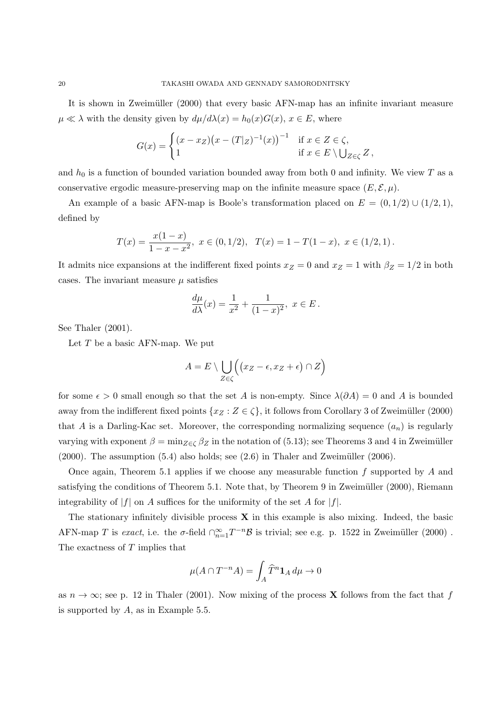It is shown in Zweimüller (2000) that every basic AFN-map has an infinite invariant measure  $\mu \ll \lambda$  with the density given by  $d\mu/d\lambda(x) = h_0(x)G(x), x \in E$ , where

$$
G(x) = \begin{cases} (x - x_Z)(x - (T|_Z)^{-1}(x))^{-1} & \text{if } x \in Z \in \zeta, \\ 1 & \text{if } x \in E \setminus \bigcup_{Z \in \zeta} Z, \end{cases}
$$

and  $h_0$  is a function of bounded variation bounded away from both 0 and infinity. We view  $T$  as a conservative ergodic measure-preserving map on the infinite measure space  $(E, \mathcal{E}, \mu)$ .

An example of a basic AFN-map is Boole's transformation placed on  $E = (0, 1/2) \cup (1/2, 1)$ , defined by

$$
T(x) = \frac{x(1-x)}{1-x-x^2}, \ x \in (0,1/2), \ T(x) = 1 - T(1-x), \ x \in (1/2,1).
$$

It admits nice expansions at the indifferent fixed points  $x_Z = 0$  and  $x_Z = 1$  with  $\beta_Z = 1/2$  in both cases. The invariant measure  $\mu$  satisfies

$$
\frac{d\mu}{d\lambda}(x) = \frac{1}{x^2} + \frac{1}{(1-x)^2}, \ x \in E.
$$

See Thaler  $(2001)$ .

Let *T* be a basic AFN-map. We put

$$
A = E \setminus \bigcup_{Z \in \zeta} \Bigl( \bigl( x_Z - \epsilon, x_Z + \epsilon \bigr) \cap Z \Bigr)
$$

for some  $\epsilon > 0$  small enough so that the set *A* is non-empty. Since  $\lambda(\partial A) = 0$  and *A* is bounded away from the indifferent fixed points  $\{x_Z : Z \in \zeta\}$ , it follows from Corollary 3 of Zweimüller (2000) that *A* is a Darling-Kac set. Moreover, the corresponding normalizing sequence  $(a_n)$  is regularly varying with exponent  $\beta = \min_{Z \in \mathcal{L}} \beta_Z$  in the notation of (5.13); see Theorems 3 and 4 in Zweimüller  $(2000)$ . The assumption  $(5.4)$  also holds; see  $(2.6)$  in Thaler and Zweimüller  $(2006)$ .

Once again, Theorem 5.1 applies if we choose any measurable function *f* supported by *A* and satisfying the conditions of Theorem 5.1. Note that, by Theorem 9 in Zweimüller (2000), Riemann integrability of  $|f|$  on *A* suffices for the uniformity of the set *A* for  $|f|$ .

The stationary infinitely divisible process **X** in this example is also mixing. Indeed, the basic AFN-map *T* is *exact*, i.e. the  $\sigma$ -field  $\bigcap_{n=1}^{\infty} T^{-n} \mathcal{B}$  is trivial; see e.g. p. 1522 in Zweimüller (2000). The exactness of *T* implies that

$$
\mu(A\cap T^{-n}A)=\int_A \widehat{T}^n\mathbf{1}_A\,d\mu\to 0
$$

as  $n \to \infty$ ; see p. 12 in Thaler (2001). Now mixing of the process **X** follows from the fact that *f* is supported by *A*, as in Example 5.5.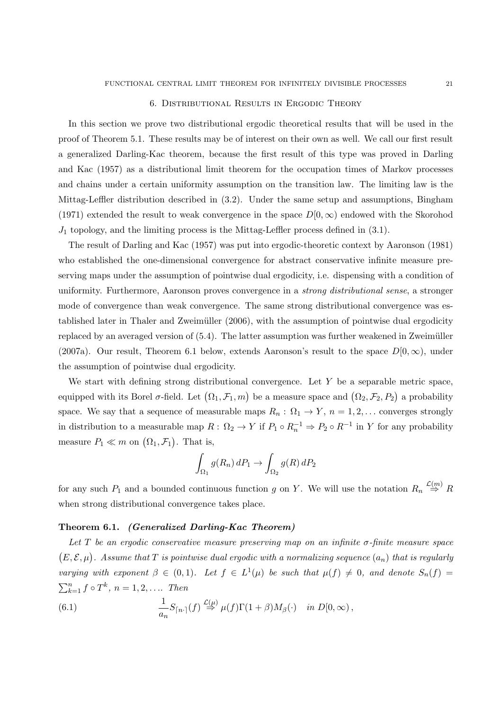#### 6. Distributional Results in Ergodic Theory

In this section we prove two distributional ergodic theoretical results that will be used in the proof of Theorem 5.1. These results may be of interest on their own as well. We call our first result a generalized Darling-Kac theorem, because the first result of this type was proved in Darling and Kac (1957) as a distributional limit theorem for the occupation times of Markov processes and chains under a certain uniformity assumption on the transition law. The limiting law is the Mittag-Leffler distribution described in (3.2). Under the same setup and assumptions, Bingham (1971) extended the result to weak convergence in the space  $D(0,\infty)$  endowed with the Skorohod *J*<sub>1</sub> topology, and the limiting process is the Mittag-Leffler process defined in (3.1).

The result of Darling and Kac (1957) was put into ergodic-theoretic context by Aaronson (1981) who established the one-dimensional convergence for abstract conservative infinite measure preserving maps under the assumption of pointwise dual ergodicity, i.e. dispensing with a condition of uniformity. Furthermore, Aaronson proves convergence in a *strong distributional sense*, a stronger mode of convergence than weak convergence. The same strong distributional convergence was established later in Thaler and Zweimüller (2006), with the assumption of pointwise dual ergodicity replaced by an averaged version of  $(5.4)$ . The latter assumption was further weakened in Zweimüller (2007a). Our result, Theorem 6.1 below, extends Aaronson's result to the space  $D[0,\infty)$ , under the assumption of pointwise dual ergodicity.

We start with defining strong distributional convergence. Let Y be a separable metric space, equipped with its Borel  $\sigma$ -field. Let  $(\Omega_1, \mathcal{F}_1, m)$  be a measure space and  $(\Omega_2, \mathcal{F}_2, P_2)$  a probability space. We say that a sequence of measurable maps  $R_n: \Omega_1 \to Y$ ,  $n = 1, 2, \ldots$  converges strongly in distribution to a measurable map  $R: \Omega_2 \to Y$  if  $P_1 \circ R_n^{-1} \to P_2 \circ R^{-1}$  in *Y* for any probability measure  $P_1 \ll m$  on  $(\Omega_1, \mathcal{F}_1)$ . That is,

$$
\int_{\Omega_1} g(R_n) dP_1 \to \int_{\Omega_2} g(R) dP_2
$$

for any such  $P_1$  and a bounded continuous function *g* on *Y*. We will use the notation  $R_n \stackrel{\mathcal{L}(m)}{\Rightarrow} R$ when strong distributional convergence takes place.

### **Theorem 6.1.** *(Generalized Darling-Kac Theorem)*

*Let T be an ergodic conservative measure preserving map on an infinite σ-finite measure space*  $(E, \mathcal{E}, \mu)$ . Assume that  $T$  is pointwise dual ergodic with a normalizing sequence  $(a_n)$  that is regularly *varying with exponent*  $\beta \in (0,1)$ *. Let*  $f \in L^1(\mu)$  *be such that*  $\mu(f) \neq 0$ *, and denote*  $S_n(f) =$  $\sum_{k=1}^{n} f \circ T^{k}, n = 1, 2, \ldots$  *Then* 

(6.1) 
$$
\frac{1}{a_n}S_{\lceil n \cdot \rceil}(f) \stackrel{\mathcal{L}(\mu)}{\Rightarrow} \mu(f)\Gamma(1+\beta)M_{\beta}(\cdot) \quad in \ D[0,\infty),
$$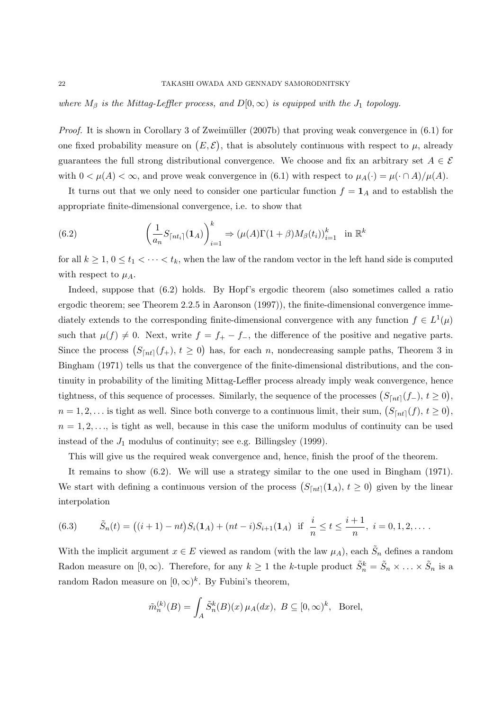*where*  $M_\beta$  *is the Mittag-Leffler process, and*  $D[0,\infty)$  *is equipped with the*  $J_1$  *topology.* 

*Proof.* It is shown in Corollary 3 of Zweimüller (2007b) that proving weak convergence in (6.1) for one fixed probability measure on  $(E, \mathcal{E})$ , that is absolutely continuous with respect to  $\mu$ , already guarantees the full strong distributional convergence. We choose and fix an arbitrary set  $A \in \mathcal{E}$ with  $0 < \mu(A) < \infty$ , and prove weak convergence in (6.1) with respect to  $\mu_A(\cdot) = \mu(\cdot \cap A)/\mu(A)$ .

It turns out that we only need to consider one particular function  $f = \mathbf{1}_A$  and to establish the appropriate finite-dimensional convergence, i.e. to show that

(6.2) 
$$
\left(\frac{1}{a_n}S_{\lceil nt_i \rceil}(\mathbf{1}_A)\right)_{i=1}^k \Rightarrow (\mu(A)\Gamma(1+\beta)M_\beta(t_i))_{i=1}^k \text{ in } \mathbb{R}^k
$$

for all  $k \geq 1, 0 \leq t_1 < \cdots < t_k$ , when the law of the random vector in the left hand side is computed with respect to  $\mu_A$ .

Indeed, suppose that (6.2) holds. By Hopf's ergodic theorem (also sometimes called a ratio ergodic theorem; see Theorem 2.2.5 in Aaronson (1997)), the finite-dimensional convergence immediately extends to the corresponding finite-dimensional convergence with any function  $f \in L^1(\mu)$ such that  $\mu(f) \neq 0$ . Next, write  $f = f_+ - f_-,$  the difference of the positive and negative parts. Since the process  $(S_{[nt]}(f_+), t \geq 0)$  has, for each *n*, nondecreasing sample paths, Theorem 3 in Bingham (1971) tells us that the convergence of the finite-dimensional distributions, and the continuity in probability of the limiting Mittag-Leffler process already imply weak convergence, hence tightness, of this sequence of processes. Similarly, the sequence of the processes  $(S<sub>[nt]</sub>(f<sub>-</sub>), t<sub>2</sub>0)$ ,  $n = 1, 2, \ldots$  is tight as well. Since both converge to a continuous limit, their sum,  $(S_{\lceil nt \rceil}(f), t \ge 0)$ ,  $n = 1, 2, \ldots$ , is tight as well, because in this case the uniform modulus of continuity can be used instead of the  $J_1$  modulus of continuity; see e.g. Billingsley (1999).

This will give us the required weak convergence and, hence, finish the proof of the theorem.

It remains to show (6.2). We will use a strategy similar to the one used in Bingham (1971). We start with defining a continuous version of the process  $(S_{[nt]}(1_A), t \geq 0)$  given by the linear interpolation

(6.3) 
$$
\tilde{S}_n(t) = ((i+1)-nt)S_i(\mathbf{1}_A) + (nt-i)S_{i+1}(\mathbf{1}_A) \text{ if } \frac{i}{n} \le t \le \frac{i+1}{n}, i = 0, 1, 2, \dots
$$

With the implicit argument  $x \in E$  viewed as random (with the law  $\mu_A$ ), each  $\tilde{S}_n$  defines a random Radon measure on  $[0, \infty)$ . Therefore, for any  $k \geq 1$  the *k*-tuple product  $\tilde{S}_n^k = \tilde{S}_n \times \ldots \times \tilde{S}_n$  is a random Radon measure on  $[0, \infty)^k$ . By Fubini's theorem,

$$
\tilde{m}_n^{(k)}(B) = \int_A \tilde{S}_n^k(B)(x) \,\mu_A(dx), \ B \subseteq [0, \infty)^k, \ \text{Borel},
$$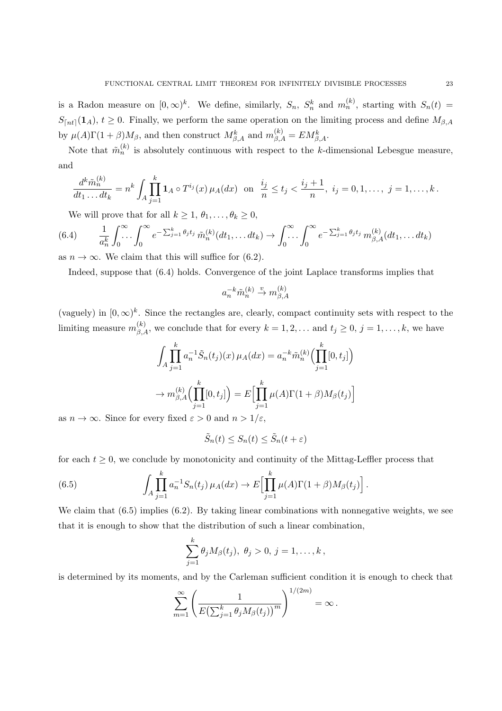is a Radon measure on  $[0, \infty)^k$ . We define, similarly,  $S_n$ ,  $S_n^k$  and  $m_n^{(k)}$ , starting with  $S_n(t)$  =  $S_{[nt]}(\mathbf{1}_A)$ ,  $t \geq 0$ . Finally, we perform the same operation on the limiting process and define  $M_{\beta,A}$ by  $\mu(A)\Gamma(1+\beta)M_{\beta}$ , and then construct  $M_{\beta,A}^k$  and  $m_{\beta,A}^{(k)} = EM_{\beta,A}^k$ .

Note that  $\tilde{m}_n^{(k)}$  is absolutely continuous with respect to the *k*-dimensional Lebesgue measure, and

$$
\frac{d^k \tilde{m}_n^{(k)}}{dt_1 \dots dt_k} = n^k \int_A \prod_{j=1}^k \mathbf{1}_A \circ T^{i_j}(x) \,\mu_A(dx) \text{ on } \frac{i_j}{n} \le t_j < \frac{i_j + 1}{n}, \ i_j = 0, 1, \dots, j = 1, \dots, k.
$$

We will prove that for all  $k \geq 1, \theta_1, \ldots, \theta_k \geq 0$ ,

$$
(6.4) \qquad \frac{1}{a_n^k} \int_0^\infty \dots \int_0^\infty e^{-\sum_{j=1}^k \theta_j t_j} \tilde{m}_n^{(k)}(dt_1, \dots dt_k) \to \int_0^\infty \dots \int_0^\infty e^{-\sum_{j=1}^k \theta_j t_j} m_{\beta, A}^{(k)}(dt_1, \dots dt_k)
$$

as  $n \to \infty$ . We claim that this will suffice for (6.2).

Indeed, suppose that (6.4) holds. Convergence of the joint Laplace transforms implies that

$$
a_n^{-k}\tilde{m}_n^{(k)}\overset{v}{\to}m_{\beta,A}^{(k)}
$$

(vaguely) in  $[0, \infty)^k$ . Since the rectangles are, clearly, compact continuity sets with respect to the limiting measure  $m_{\beta,A}^{(k)}$ , we conclude that for every  $k = 1, 2, \ldots$  and  $t_j \geq 0, j = 1, \ldots, k$ , we have

$$
\int_{A} \prod_{j=1}^{k} a_{n}^{-1} \tilde{S}_{n}(t_{j})(x) \mu_{A}(dx) = a_{n}^{-k} \tilde{m}_{n}^{(k)} \Big( \prod_{j=1}^{k} [0, t_{j}] \Big)
$$

$$
\to m_{\beta, A}^{(k)} \Big( \prod_{j=1}^{k} [0, t_{j}] \Big) = E \Big[ \prod_{j=1}^{k} \mu(A) \Gamma(1+\beta) M_{\beta}(t_{j}) \Big]
$$

as  $n \to \infty$ . Since for every fixed  $\varepsilon > 0$  and  $n > 1/\varepsilon$ ,

$$
\tilde{S}_n(t) \le S_n(t) \le \tilde{S}_n(t + \varepsilon)
$$

for each  $t \geq 0$ , we conclude by monotonicity and continuity of the Mittag-Leffler process that

(6.5) 
$$
\int_{A} \prod_{j=1}^{k} a_{n}^{-1} S_{n}(t_{j}) \mu_{A}(dx) \to E \Big[ \prod_{j=1}^{k} \mu(A) \Gamma(1+\beta) M_{\beta}(t_{j}) \Big].
$$

We claim that (6.5) implies (6.2). By taking linear combinations with nonnegative weights, we see that it is enough to show that the distribution of such a linear combination,

$$
\sum_{j=1}^k \theta_j M_{\beta}(t_j), \ \theta_j > 0, \ j = 1, \ldots, k \,,
$$

is determined by its moments, and by the Carleman sufficient condition it is enough to check that

$$
\sum_{m=1}^{\infty} \left( \frac{1}{E\left(\sum_{j=1}^{k} \theta_j M_{\beta}(t_j)\right)^m} \right)^{1/(2m)} = \infty.
$$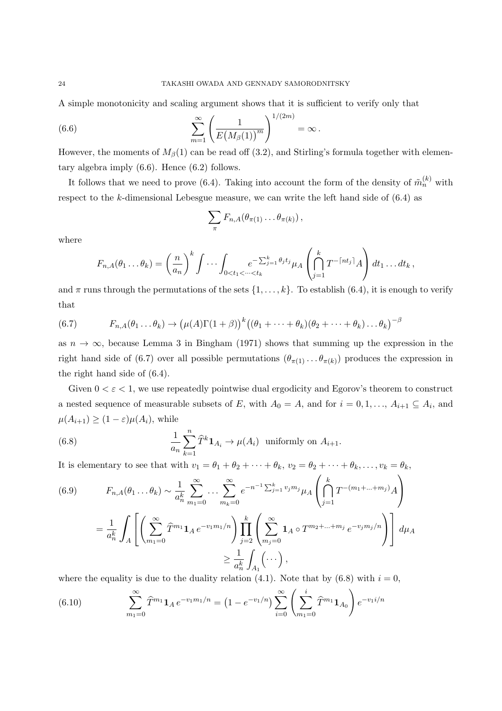A simple monotonicity and scaling argument shows that it is sufficient to verify only that

(6.6) 
$$
\sum_{m=1}^{\infty} \left( \frac{1}{E(M_{\beta}(1))^m} \right)^{1/(2m)} = \infty.
$$

However, the moments of  $M_\beta(1)$  can be read off (3.2), and Stirling's formula together with elementary algebra imply (6.6). Hence (6.2) follows.

It follows that we need to prove (6.4). Taking into account the form of the density of  $\tilde{m}_n^{(k)}$  with respect to the *k*-dimensional Lebesgue measure, we can write the left hand side of (6.4) as

$$
\sum_{\pi} F_{n,A}(\theta_{\pi(1)}\ldots\theta_{\pi(k)})\,,
$$

where

$$
F_{n,A}(\theta_1 \dots \theta_k) = \left(\frac{n}{a_n}\right)^k \int \dots \int_{0 < t_1 < \dots < t_k} e^{-\sum_{j=1}^k \theta_j t_j} \mu_A \left(\bigcap_{j=1}^k T^{-\lceil nt_j \rceil} A\right) dt_1 \dots dt_k,
$$

and  $\pi$  runs through the permutations of the sets  $\{1, \ldots, k\}$ . To establish (6.4), it is enough to verify that

(6.7) 
$$
F_{n,A}(\theta_1 \dots \theta_k) \to (\mu(A)\Gamma(1+\beta))^k ((\theta_1 + \dots + \theta_k)(\theta_2 + \dots + \theta_k) \dots \theta_k)^{-\beta}
$$

as  $n \to \infty$ , because Lemma 3 in Bingham (1971) shows that summing up the expression in the right hand side of (6.7) over all possible permutations  $(\theta_{\pi(1)} \dots \theta_{\pi(k)})$  produces the expression in the right hand side of (6.4).

Given  $0 < \varepsilon < 1$ , we use repeatedly pointwise dual ergodicity and Egorov's theorem to construct a nested sequence of measurable subsets of *E*, with  $A_0 = A$ , and for  $i = 0, 1, \ldots, A_{i+1} \subseteq A_i$ , and  $\mu(A_{i+1}) \geq (1 - \varepsilon)\mu(A_i)$ , while

(6.8) 
$$
\frac{1}{a_n} \sum_{k=1}^n \widehat{T}^k \mathbf{1}_{A_i} \to \mu(A_i) \text{ uniformly on } A_{i+1}.
$$

It is elementary to see that with  $v_1 = \theta_1 + \theta_2 + \cdots + \theta_k$ ,  $v_2 = \theta_2 + \cdots + \theta_k, \ldots, v_k = \theta_k$ ,

(6.9) 
$$
F_{n,A}(\theta_1 \dots \theta_k) \sim \frac{1}{a_n^k} \sum_{m_1=0}^{\infty} \dots \sum_{m_k=0}^{\infty} e^{-n^{-1} \sum_{j=1}^k v_j m_j} \mu_A \left( \bigcap_{j=1}^k T^{-(m_1 + \dots + m_j)} A \right)
$$

$$
= \frac{1}{a_n^k} \int_A \left[ \left( \sum_{m_1=0}^{\infty} \widehat{T}^{m_1} \mathbf{1}_A e^{-v_1 m_1/n} \right) \prod_{j=2}^k \left( \sum_{m_j=0}^{\infty} \mathbf{1}_A \circ T^{m_2 + \dots + m_j} e^{-v_j m_j/n} \right) \right] d\mu_A
$$

$$
\geq \frac{1}{a_n^k} \int_{A_1} (\dots),
$$

where the equality is due to the duality relation  $(4.1)$ . Note that by  $(6.8)$  with  $i = 0$ ,

(6.10) 
$$
\sum_{m_1=0}^{\infty} \hat{T}^{m_1} \mathbf{1}_A e^{-v_1 m_1/n} = \left(1 - e^{-v_1/n}\right) \sum_{i=0}^{\infty} \left(\sum_{m_1=0}^{i} \hat{T}^{m_1} \mathbf{1}_{A_0}\right) e^{-v_1 i/n}
$$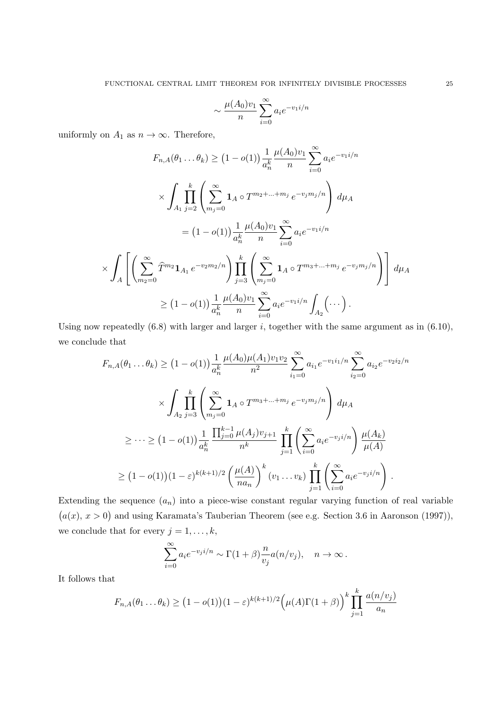$$
\sim \frac{\mu(A_0)v_1}{n} \sum_{i=0}^{\infty} a_i e^{-v_1 i/n}
$$

uniformly on  $A_1$  as  $n \to \infty$ . Therefore,

$$
F_{n,A}(\theta_1 \dots \theta_k) \ge (1 - o(1)) \frac{1}{a_n^k} \frac{\mu(A_0)v_1}{n} \sum_{i=0}^{\infty} a_i e^{-v_1 i/n}
$$
  

$$
\times \int_{A_1} \prod_{j=2}^k \left( \sum_{m_j=0}^{\infty} \mathbf{1}_A \circ T^{m_2 + \dots + m_j} e^{-v_j m_j/n} \right) d\mu_A
$$
  

$$
= (1 - o(1)) \frac{1}{a_n^k} \frac{\mu(A_0)v_1}{n} \sum_{i=0}^{\infty} a_i e^{-v_1 i/n}
$$
  

$$
\times \int_A \left[ \left( \sum_{m_2=0}^{\infty} \widehat{T}^{m_2} \mathbf{1}_{A_1} e^{-v_2 m_2/n} \right) \prod_{j=3}^k \left( \sum_{m_j=0}^{\infty} \mathbf{1}_A \circ T^{m_3 + \dots + m_j} e^{-v_j m_j/n} \right) \right] d\mu_A
$$
  

$$
\ge (1 - o(1)) \frac{1}{a_n^k} \frac{\mu(A_0)v_1}{n} \sum_{i=0}^{\infty} a_i e^{-v_1 i/n} \int_{A_2} (\dots).
$$

Using now repeatedly (6.8) with larger and larger *i*, together with the same argument as in (6.10), we conclude that

$$
F_{n,A}(\theta_1 \dots \theta_k) \ge (1 - o(1)) \frac{1}{a_n^k} \frac{\mu(A_0)\mu(A_1)v_1v_2}{n^2} \sum_{i_1=0}^{\infty} a_{i_1} e^{-v_1 i_1/n} \sum_{i_2=0}^{\infty} a_{i_2} e^{-v_2 i_2/n}
$$
  

$$
\times \int_{A_2} \prod_{j=3}^k \left( \sum_{m_j=0}^{\infty} \mathbf{1}_A \circ T^{m_3 + \dots + m_j} e^{-v_j m_j/n} \right) d\mu_A
$$
  

$$
\ge \dots \ge (1 - o(1)) \frac{1}{a_n^k} \frac{\prod_{j=0}^{k-1} \mu(A_j)v_{j+1}}{n^k} \prod_{j=1}^k \left( \sum_{i=0}^{\infty} a_i e^{-v_j i/n} \right) \frac{\mu(A_k)}{\mu(A)}
$$
  

$$
\ge (1 - o(1))(1 - \varepsilon)^{k(k+1)/2} \left( \frac{\mu(A)}{na_n} \right)^k (v_1 \dots v_k) \prod_{j=1}^k \left( \sum_{i=0}^{\infty} a_i e^{-v_j i/n} \right).
$$

Extending the sequence  $(a_n)$  into a piece-wise constant regular varying function of real variable  $(a(x), x > 0)$  and using Karamata's Tauberian Theorem (see e.g. Section 3.6 in Aaronson (1997)), we conclude that for every  $j = 1, \ldots, k$ ,

$$
\sum_{i=0}^{\infty} a_i e^{-v_j i/n} \sim \Gamma(1+\beta) \frac{n}{v_j} a(n/v_j), \quad n \to \infty.
$$

It follows that

$$
F_{n,A}(\theta_1 \dots \theta_k) \ge (1 - o(1))(1 - \varepsilon)^{k(k+1)/2} \Big(\mu(A)\Gamma(1+\beta)\Big)^k \prod_{j=1}^k \frac{a(n/v_j)}{a_n}
$$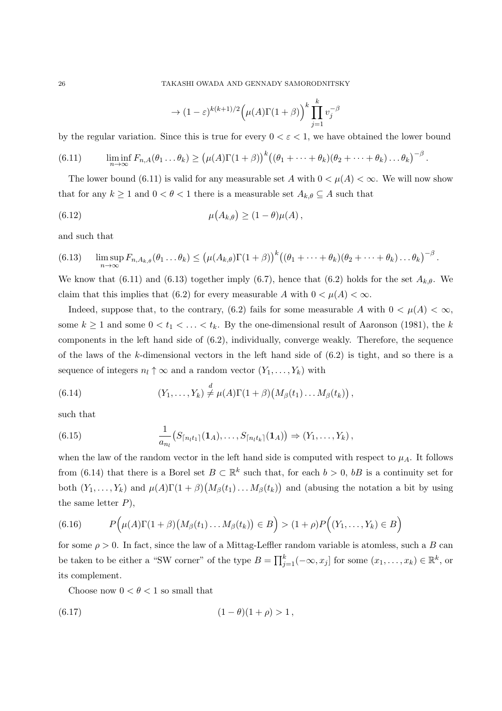26 TAKASHI OWADA AND GENNADY SAMORODNITSKY

$$
\to (1-\varepsilon)^{k(k+1)/2} \Big( \mu(A) \Gamma(1+\beta) \Big)^k \prod_{j=1}^k v_j^{-\beta}
$$

by the regular variation. Since this is true for every  $0 < \varepsilon < 1$ , we have obtained the lower bound

(6.11) 
$$
\liminf_{n\to\infty} F_{n,A}(\theta_1 \dots \theta_k) \geq (\mu(A)\Gamma(1+\beta))^k ((\theta_1 + \dots + \theta_k)(\theta_2 + \dots + \theta_k) \dots \theta_k)^{-\beta}.
$$

The lower bound (6.11) is valid for any measurable set *A* with  $0 < \mu(A) < \infty$ . We will now show that for any  $k \geq 1$  and  $0 < \theta < 1$  there is a measurable set  $A_{k,\theta} \subseteq A$  such that

(6.12) 
$$
\mu(A_{k,\theta}) \geq (1-\theta)\mu(A),
$$

and such that

$$
(6.13) \qquad \limsup_{n\to\infty} F_{n,A_{k,\theta}}(\theta_1\dots\theta_k) \leq \left(\mu(A_{k,\theta})\Gamma(1+\beta)\right)^k \left((\theta_1+\dots+\theta_k)(\theta_2+\dots+\theta_k)\dots\theta_k\right)^{-\beta}.
$$

We know that (6.11) and (6.13) together imply (6.7), hence that (6.2) holds for the set  $A_{k,\theta}$ . We claim that this implies that (6.2) for every measurable *A* with  $0 < \mu(A) < \infty$ .

Indeed, suppose that, to the contrary, (6.2) fails for some measurable *A* with  $0 < \mu(A) < \infty$ , some  $k \geq 1$  and some  $0 < t_1 < \ldots < t_k$ . By the one-dimensional result of Aaronson (1981), the *k* components in the left hand side of (6.2), individually, converge weakly. Therefore, the sequence of the laws of the *k*-dimensional vectors in the left hand side of (6.2) is tight, and so there is a sequence of integers  $n_l \uparrow \infty$  and a random vector  $(Y_1, \ldots, Y_k)$  with

(6.14) 
$$
(Y_1,\ldots,Y_k)\stackrel{d}{\neq}\mu(A)\Gamma(1+\beta)\big(M_\beta(t_1)\ldots M_\beta(t_k)\big)\,,
$$

such that

(6.15) 
$$
\frac{1}{a_{n_l}}(S_{\lceil n_l t_1 \rceil}(1_A), \ldots, S_{\lceil n_l t_k \rceil}(1_A)) \Rightarrow (Y_1, \ldots, Y_k),
$$

when the law of the random vector in the left hand side is computed with respect to  $\mu_A$ . It follows from (6.14) that there is a Borel set  $B \subset \mathbb{R}^k$  such that, for each  $b > 0$ ,  $bB$  is a continuity set for both  $(Y_1, \ldots, Y_k)$  and  $\mu(A)\Gamma(1+\beta)\big(M_\beta(t_1)\ldots M_\beta(t_k)\big)$  and (abusing the notation a bit by using the same letter *P*),

(6.16) 
$$
P(\mu(A)\Gamma(1+\beta)(M_{\beta}(t_1)\dots M_{\beta}(t_k)) \in B) > (1+\rho)P((Y_1,\dots,Y_k) \in B)
$$

for some  $\rho > 0$ . In fact, since the law of a Mittag-Leffler random variable is atomless, such a *B* can be taken to be either a "SW corner" of the type  $B = \prod_{j=1}^{k}(-\infty, x_j]$  for some  $(x_1, \ldots, x_k) \in \mathbb{R}^k$ , or its complement.

Choose now  $0 < \theta < 1$  so small that

(6.17) 
$$
(1 - \theta)(1 + \rho) > 1,
$$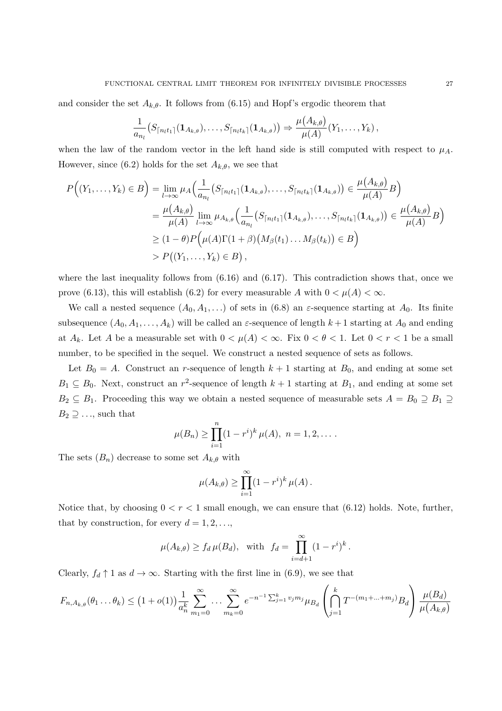and consider the set  $A_{k,\theta}$ . It follows from (6.15) and Hopf's ergodic theorem that

$$
\frac{1}{a_{n_l}}\big(S_{\lceil n_l t_1 \rceil}(1_{A_{k,\theta}}),\ldots,S_{\lceil n_l t_k \rceil}(1_{A_{k,\theta}})\big)\Rightarrow\frac{\mu(A_{k,\theta})}{\mu(A)}(Y_1,\ldots,Y_k)\,,
$$

when the law of the random vector in the left hand side is still computed with respect to  $\mu_A$ . However, since (6.2) holds for the set  $A_{k,\theta}$ , we see that

$$
P((Y_1, ..., Y_k) \in B) = \lim_{l \to \infty} \mu_A \Big( \frac{1}{a_{n_l}} (S_{\lceil n_l t_1 \rceil} (\mathbf{1}_{A_{k,\theta}}), ..., S_{\lceil n_l t_k \rceil} (\mathbf{1}_{A_{k,\theta}})) \in \frac{\mu(A_{k,\theta})}{\mu(A)} B \Big)
$$
  
=  $\frac{\mu(A_{k,\theta})}{\mu(A)} \lim_{l \to \infty} \mu_{A_{k,\theta}} \Big( \frac{1}{a_{n_l}} (S_{\lceil n_l t_1 \rceil} (\mathbf{1}_{A_{k,\theta}}), ..., S_{\lceil n_l t_k \rceil} (\mathbf{1}_{A_{k,\theta}})) \in \frac{\mu(A_{k,\theta})}{\mu(A)} B \Big)$   
 $\geq (1 - \theta) P \Big( \mu(A) \Gamma(1 + \beta) (M_{\beta}(t_1) ... M_{\beta}(t_k)) \in B \Big)$   
 $> P((Y_1, ..., Y_k) \in B),$ 

where the last inequality follows from  $(6.16)$  and  $(6.17)$ . This contradiction shows that, once we prove (6.13), this will establish (6.2) for every measurable *A* with  $0 < \mu(A) < \infty$ .

We call a nested sequence  $(A_0, A_1, \ldots)$  of sets in (6.8) an  $\varepsilon$ -sequence starting at  $A_0$ . Its finite subsequence  $(A_0, A_1, \ldots, A_k)$  will be called an  $\varepsilon$ -sequence of length  $k+1$  starting at  $A_0$  and ending at  $A_k$ . Let  $A$  be a measurable set with  $0 < \mu(A) < \infty$ . Fix  $0 < \theta < 1$ . Let  $0 < r < 1$  be a small number, to be specified in the sequel. We construct a nested sequence of sets as follows.

Let  $B_0 = A$ . Construct an *r*-sequence of length  $k+1$  starting at  $B_0$ , and ending at some set  $B_1 \subseteq B_0$ . Next, construct an *r*<sup>2</sup>-sequence of length  $k+1$  starting at  $B_1$ , and ending at some set  $B_2 \subseteq B_1$ . Proceeding this way we obtain a nested sequence of measurable sets  $A = B_0 \supseteq B_1 \supseteq$  $B_2 \supseteq \ldots$ , such that

$$
\mu(B_n) \ge \prod_{i=1}^n (1 - r^i)^k \mu(A), \ n = 1, 2, \dots
$$

The sets  $(B_n)$  decrease to some set  $A_{k,\theta}$  with

$$
\mu(A_{k,\theta}) \ge \prod_{i=1}^{\infty} (1 - r^i)^k \mu(A).
$$

Notice that, by choosing  $0 < r < 1$  small enough, we can ensure that  $(6.12)$  holds. Note, further, that by construction, for every  $d = 1, 2, \ldots$ ,

$$
\mu(A_{k,\theta}) \ge f_d \,\mu(B_d), \quad \text{with} \quad f_d = \prod_{i=d+1}^{\infty} (1-r^i)^k.
$$

Clearly,  $f_d \uparrow 1$  as  $d \to \infty$ . Starting with the first line in (6.9), we see that

$$
F_{n,A_{k,\theta}}(\theta_1 \dots \theta_k) \le (1+o(1))\frac{1}{a_n^k} \sum_{m_1=0}^{\infty} \dots \sum_{m_k=0}^{\infty} e^{-n^{-1} \sum_{j=1}^k v_j m_j} \mu_{B_d} \left( \bigcap_{j=1}^k T^{-(m_1+\dots+m_j)} B_d \right) \frac{\mu(B_d)}{\mu(A_{k,\theta})}
$$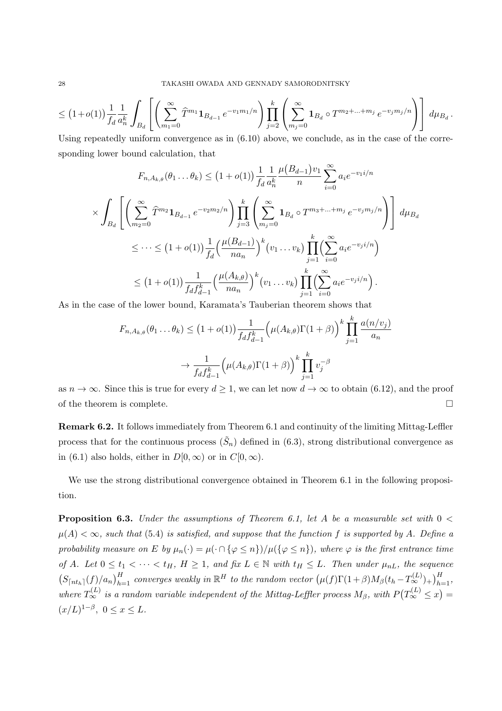$$
\leq (1+o(1))\frac{1}{f_d}\frac{1}{a_n^k}\int_{B_d}\left[\left(\sum_{m_1=0}^{\infty}\widehat{T}^{m_1}\mathbf{1}_{B_{d-1}}e^{-v_1m_1/n}\right)\prod_{j=2}^k\left(\sum_{m_j=0}^{\infty}\mathbf{1}_{B_d}\circ T^{m_2+\ldots+m_j}\,e^{-v_jm_j/n}\right)\right]d\mu_{B_d}.
$$

Using repeatedly uniform convergence as in  $(6.10)$  above, we conclude, as in the case of the corresponding lower bound calculation, that

$$
F_{n,A_{k,\theta}}(\theta_{1}... \theta_{k}) \leq (1+o(1)) \frac{1}{f_{d}} \frac{1}{a_{n}^{k}} \frac{\mu(B_{d-1})v_{1}}{n} \sum_{i=0}^{\infty} a_{i}e^{-v_{1}i/n}
$$
  

$$
\times \int_{B_{d}} \left[ \left( \sum_{m_{2}=0}^{\infty} \hat{T}^{m_{2}} \mathbf{1}_{B_{d-1}} e^{-v_{2}m_{2}/n} \right) \prod_{j=3}^{k} \left( \sum_{m_{j}=0}^{\infty} \mathbf{1}_{B_{d}} \circ T^{m_{3}+\dots+m_{j}} e^{-v_{j}m_{j}/n} \right) \right] d\mu_{B_{d}}
$$
  

$$
\leq \dots \leq (1+o(1)) \frac{1}{f_{d}} \left( \frac{\mu(B_{d-1})}{na_{n}} \right)^{k} (v_{1}...v_{k}) \prod_{j=1}^{k} \left( \sum_{i=0}^{\infty} a_{i}e^{-v_{j}i/n} \right)
$$
  

$$
\leq (1+o(1)) \frac{1}{f_{d}f_{d-1}^{k}} \left( \frac{\mu(A_{k,\theta})}{na_{n}} \right)^{k} (v_{1}...v_{k}) \prod_{j=1}^{k} \left( \sum_{i=0}^{\infty} a_{i}e^{-v_{j}i/n} \right).
$$

As in the case of the lower bound, Karamata's Tauberian theorem shows that

$$
F_{n,A_{k,\theta}}(\theta_1 \dots \theta_k) \le (1+o(1)) \frac{1}{f_d f_{d-1}^k} \left(\mu(A_{k,\theta}) \Gamma(1+\beta)\right)^k \prod_{j=1}^k \frac{a(n/v_j)}{a_n}
$$

$$
\to \frac{1}{f_d f_{d-1}^k} \left(\mu(A_{k,\theta}) \Gamma(1+\beta)\right)^k \prod_{j=1}^k v_j^{-\beta}
$$

as  $n \to \infty$ . Since this is true for every  $d \geq 1$ , we can let now  $d \to \infty$  to obtain (6.12), and the proof of the theorem is complete.  $\hfill \square$ 

**Remark 6.2.** It follows immediately from Theorem 6.1 and continuity of the limiting Mittag-Leffler process that for the continuous process  $(\tilde{S}_n)$  defined in  $(6.3)$ , strong distributional convergence as in (6.1) also holds, either in  $D[0,\infty)$  or in  $C[0,\infty)$ .

We use the strong distributional convergence obtained in Theorem 6.1 in the following proposition.

**Proposition 6.3.** *Under the assumptions of Theorem 6.1, let A be a measurable set with* 0 *<*  $\mu(A) < \infty$ , such that (5.4) is satisfied, and suppose that the function f is supported by A. Define a probability measure on E by  $\mu_n(\cdot) = \mu(\cdot \cap {\varphi \leq n})/\mu({\varphi \leq n})$ , where  $\varphi$  is the first entrance time of A. Let  $0 \le t_1 < \cdots < t_H$ ,  $H \ge 1$ , and fix  $L \in \mathbb{N}$  with  $t_H \le L$ . Then under  $\mu_{nL}$ , the sequence  $(S_{\lceil nt_h \rceil}(f)/a_n)_{h=1}^H$  converges weakly in  $\mathbb{R}^H$  to the random vector  $(\mu(f)\Gamma(1+\beta)M_{\beta}(t_h-T_{\infty}^{(L)})_+)_{h=1}^H$ , *where*  $T_{\infty}^{(L)}$  *is a random variable independent of the Mittag-Leffler process*  $M_{\beta}$ *, with*  $P(T_{\infty}^{(L)} \leq x)$  =  $(x/L)^{1-\beta}, \ 0 \le x \le L.$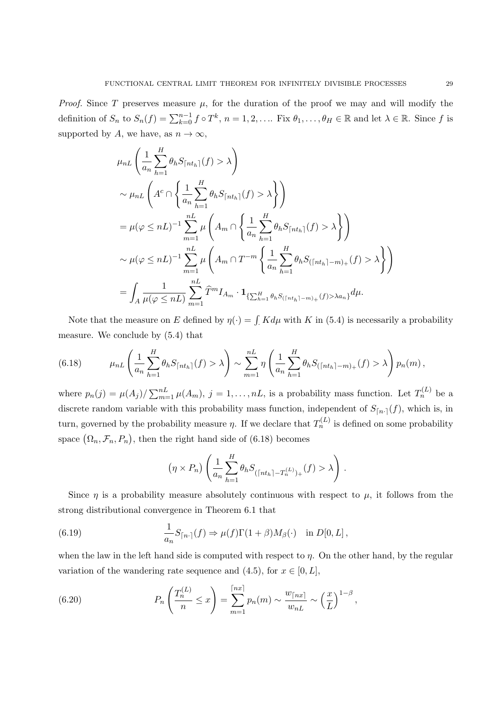*Proof.* Since *T* preserves measure  $\mu$ , for the duration of the proof we may and will modify the definition of  $S_n$  to  $S_n(f) = \sum_{k=0}^{n-1} f \circ T^k$ ,  $n = 1, 2, ...$  Fix  $\theta_1, ..., \theta_H \in \mathbb{R}$  and let  $\lambda \in \mathbb{R}$ . Since f is supported by *A*, we have, as  $n \to \infty$ ,

$$
\mu_{nL} \left( \frac{1}{a_n} \sum_{h=1}^{H} \theta_h S_{\lceil nt_h \rceil}(f) > \lambda \right)
$$
  
\n
$$
\sim \mu_{nL} \left( A^c \cap \left\{ \frac{1}{a_n} \sum_{h=1}^{H} \theta_h S_{\lceil nt_h \rceil}(f) > \lambda \right\} \right)
$$
  
\n
$$
= \mu (\varphi \le nL)^{-1} \sum_{m=1}^{nL} \mu \left( A_m \cap \left\{ \frac{1}{a_n} \sum_{h=1}^{H} \theta_h S_{\lceil nt_h \rceil}(f) > \lambda \right\} \right)
$$
  
\n
$$
\sim \mu (\varphi \le nL)^{-1} \sum_{m=1}^{nL} \mu \left( A_m \cap T^{-m} \left\{ \frac{1}{a_n} \sum_{h=1}^{H} \theta_h S_{\lceil nt_h \rceil - m \rceil + (f) > \lambda} \right\} \right)
$$
  
\n
$$
= \int_A \frac{1}{\mu (\varphi \le nL)} \sum_{m=1}^{nL} \hat{T}^m I_{A_m} \cdot \mathbf{1}_{\{\sum_{h=1}^{H} \theta_h S_{\lceil nt_h \rceil - m \} + (f) > \lambda a_n\}} d\mu.
$$

Note that the measure on *E* defined by  $\eta(\cdot) = \int K d\mu$  with *K* in (5.4) is necessarily a probability measure. We conclude by (5.4) that

(6.18) 
$$
\mu_{nL} \left( \frac{1}{a_n} \sum_{h=1}^H \theta_h S_{\lceil nt_h \rceil}(f) > \lambda \right) \sim \sum_{m=1}^{nL} \eta \left( \frac{1}{a_n} \sum_{h=1}^H \theta_h S_{(\lceil nt_h \rceil - m)_+}(f) > \lambda \right) p_n(m),
$$

where  $p_n(j) = \mu(A_j) / \sum_{m=1}^{n} \mu(A_m)$ ,  $j = 1, \ldots, nL$ , is a probability mass function. Let  $T_n^{(L)}$  be a discrete random variable with this probability mass function, independent of  $S_{[n,1]}(f)$ , which is, in turn, governed by the probability measure  $\eta$ . If we declare that  $T_n^{(L)}$  is defined on some probability space  $(\Omega_n, \mathcal{F}_n, P_n)$ , then the right hand side of (6.18) becomes

$$
(\eta \times P_n) \left( \frac{1}{a_n} \sum_{h=1}^H \theta_h S_{(\lceil nt_h \rceil - T_n^{(L)})_+}(f) > \lambda \right).
$$

Since  $\eta$  is a probability measure absolutely continuous with respect to  $\mu$ , it follows from the strong distributional convergence in Theorem 6.1 that

(6.19) 
$$
\frac{1}{a_n}S_{\lceil n \cdot \rceil}(f) \Rightarrow \mu(f)\Gamma(1+\beta)M_{\beta}(\cdot) \quad \text{in } D[0,L],
$$

when the law in the left hand side is computed with respect to *η*. On the other hand, by the regular variation of the wandering rate sequence and  $(4.5)$ , for  $x \in [0, L]$ ,

(6.20) 
$$
P_n\left(\frac{T_n^{(L)}}{n} \le x\right) = \sum_{m=1}^{\lceil nx \rceil} p_n(m) \sim \frac{w_{\lceil nx \rceil}}{w_{nL}} \sim \left(\frac{x}{L}\right)^{1-\beta},
$$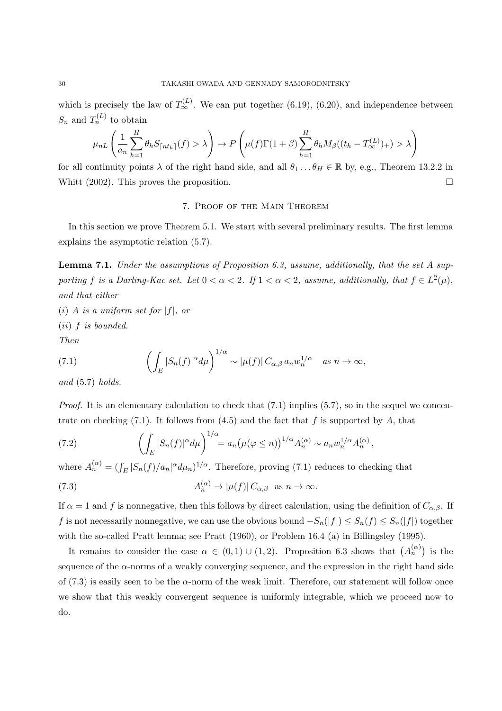which is precisely the law of  $T_{\infty}^{(L)}$ . We can put together (6.19), (6.20), and independence between  $S_n$  and  $T_n^{(L)}$  to obtain

$$
\mu_{nL}\left(\frac{1}{a_n}\sum_{h=1}^H \theta_h S_{\lceil nt_h \rceil}(f) > \lambda\right) \to P\left(\mu(f)\Gamma(1+\beta)\sum_{h=1}^H \theta_h M_\beta((t_h - T_\infty^{(L)})_+) > \lambda\right)
$$

for all continuity points  $\lambda$  of the right hand side, and all  $\theta_1 \dots \theta_H \in \mathbb{R}$  by, e.g., Theorem 13.2.2 in Whitt  $(2002)$ . This proves the proposition.

#### 7. Proof of the Main Theorem

In this section we prove Theorem 5.1. We start with several preliminary results. The first lemma explains the asymptotic relation (5.7).

**Lemma 7.1.** *Under the assumptions of Proposition 6.3, assume, additionally, that the set A supporting f is a Darling-Kac set.* Let  $0 < \alpha < 2$ . If  $1 < \alpha < 2$ , assume, additionally, that  $f \in L^2(\mu)$ , *and that either*

 $(i)$  *A is a uniform set for*  $|f|$ *, or* 

(*ii*) *f is bounded.*

*Then*

(7.1) 
$$
\left(\int_E |S_n(f)|^{\alpha} d\mu\right)^{1/\alpha} \sim |\mu(f)| C_{\alpha,\beta} a_n w_n^{1/\alpha} \quad as \quad n \to \infty,
$$

*and* (5.7) *holds.*

*Proof.* It is an elementary calculation to check that (7.1) implies (5.7), so in the sequel we concentrate on checking  $(7.1)$ . It follows from  $(4.5)$  and the fact that f is supported by A, that

(7.2) 
$$
\left(\int_E |S_n(f)|^{\alpha} d\mu\right)^{1/\alpha} = a_n \left(\mu(\varphi \leq n)\right)^{1/\alpha} A_n^{(\alpha)} \sim a_n w_n^{1/\alpha} A_n^{(\alpha)},
$$

where  $A_n^{(\alpha)} = (\int_E |S_n(f)/a_n|^{\alpha} d\mu_n)^{1/\alpha}$ . Therefore, proving (7.1) reduces to checking that

(7.3) 
$$
A_n^{(\alpha)} \to |\mu(f)| C_{\alpha,\beta} \text{ as } n \to \infty.
$$

If  $\alpha = 1$  and f is nonnegative, then this follows by direct calculation, using the definition of  $C_{\alpha,\beta}$ . If *f* is not necessarily nonnegative, we can use the obvious bound  $-S_n(|f|) \leq S_n(f) \leq S_n(|f|)$  together with the so-called Pratt lemma; see Pratt (1960), or Problem 16.4 (a) in Billingsley (1995).

It remains to consider the case  $\alpha \in (0,1) \cup (1,2)$ . Proposition 6.3 shows that  $(A_n^{(\alpha)})$  is the sequence of the  $\alpha$ -norms of a weakly converging sequence, and the expression in the right hand side of  $(7.3)$  is easily seen to be the  $\alpha$ -norm of the weak limit. Therefore, our statement will follow once we show that this weakly convergent sequence is uniformly integrable, which we proceed now to do.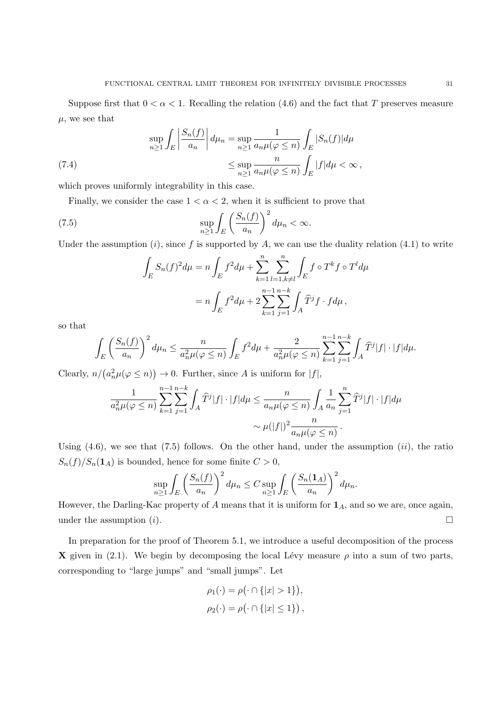Suppose first that  $0 < \alpha < 1$ . Recalling the relation (4.6) and the fact that *T* preserves measure  $\mu$ , we see that

(7.4) 
$$
\sup_{n\geq 1} \int_{E} \left| \frac{S_n(f)}{a_n} \right| d\mu_n = \sup_{n\geq 1} \frac{1}{a_n \mu(\varphi \leq n)} \int_{E} |S_n(f)| d\mu
$$

$$
\leq \sup_{n\geq 1} \frac{n}{a_n \mu(\varphi \leq n)} \int_{E} |f| d\mu < \infty,
$$

which proves uniformly integrability in this case.

Finally, we consider the case  $1 < \alpha < 2$ , when it is sufficient to prove that

(7.5) 
$$
\sup_{n\geq 1} \int_{E} \left(\frac{S_n(f)}{a_n}\right)^2 d\mu_n < \infty.
$$

Under the assumption  $(i)$ , since f is supported by A, we can use the duality relation  $(4.1)$  to write

$$
\int_{E} S_n(f)^2 d\mu = n \int_{E} f^2 d\mu + \sum_{k=1}^n \sum_{\substack{l=1, k \neq l}}^n \int_{E} f \circ T^k f \circ T^l d\mu
$$

$$
= n \int_{E} f^2 d\mu + 2 \sum_{k=1}^{n-1} \sum_{j=1}^{n-k} \int_{A} \widehat{T}^j f \cdot f d\mu,
$$

so that

$$
\int_E \left(\frac{S_n(f)}{a_n}\right)^2 d\mu_n \le \frac{n}{a_n^2 \mu(\varphi \le n)} \int_E f^2 d\mu + \frac{2}{a_n^2 \mu(\varphi \le n)} \sum_{k=1}^{n-1} \sum_{j=1}^{n-k} \int_A \widehat{T}^j |f| \cdot |f| d\mu.
$$

Clearly,  $n/(a_n^2 \mu(\varphi \leq n)) \to 0$ . Further, since *A* is uniform for  $|f|$ ,

$$
\frac{1}{a_n^2 \mu(\varphi \le n)} \sum_{k=1}^{n-1} \sum_{j=1}^{n-k} \int_A \widehat{T}^j |f| \cdot |f| d\mu \le \frac{n}{a_n \mu(\varphi \le n)} \int_A \frac{1}{a_n} \sum_{j=1}^n \widehat{T}^j |f| \cdot |f| d\mu
$$

$$
\sim \mu(|f|)^2 \frac{n}{a_n \mu(\varphi \le n)}.
$$

Using (4.6), we see that (7.5) follows. On the other hand, under the assumption (*ii*), the ratio  $S_n(f)/S_n(1_A)$  is bounded, hence for some finite  $C > 0$ ,

$$
\sup_{n\geq 1}\int_{E}\left(\frac{S_n(f)}{a_n}\right)^2d\mu_n\leq C\sup_{n\geq 1}\int_{E}\left(\frac{S_n(\mathbf{1}_A)}{a_n}\right)^2d\mu_n.
$$

However, the Darling-Kac property of *A* means that it is uniform for **1***A*, and so we are, once again, under the assumption  $(i)$ .

In preparation for the proof of Theorem 5.1, we introduce a useful decomposition of the process **X** given in (2.1). We begin by decomposing the local Lévy measure  $\rho$  into a sum of two parts, corresponding to "large jumps" and "small jumps". Let

$$
\rho_1(\cdot) = \rho(\cdot \cap \{|x| > 1\}),
$$
  

$$
\rho_2(\cdot) = \rho(\cdot \cap \{|x| \le 1\}),
$$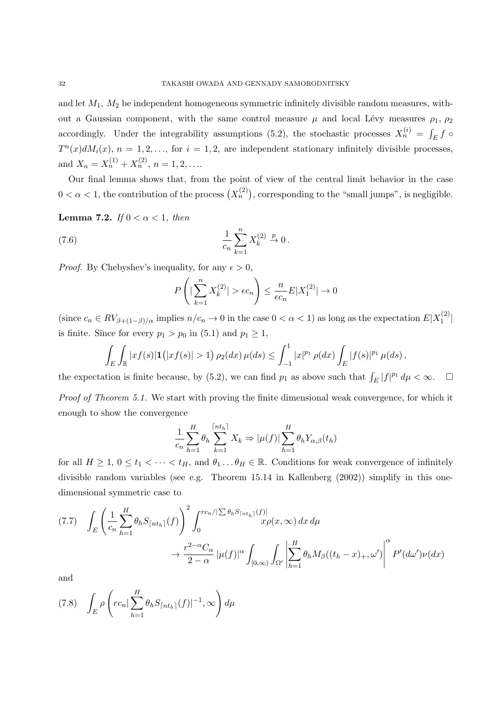and let *M*1*, M*<sup>2</sup> be independent homogeneous symmetric infinitely divisible random measures, without a Gaussian component, with the same control measure  $\mu$  and local Lévy measures  $\rho_1$ ,  $\rho_2$ accordingly. Under the integrability assumptions (5.2), the stochastic processes  $X_n^{(i)} = \int_E f \circ$  $T^n(x)dM_i(x)$ ,  $n = 1, 2, \ldots$ , for  $i = 1, 2$ , are independent stationary infinitely divisible processes, and  $X_n = X_n^{(1)} + X_n^{(2)}, n = 1, 2, \ldots$ 

Our final lemma shows that, from the point of view of the central limit behavior in the case  $0 < \alpha < 1$ , the contribution of the process  $(X_n^{(2)})$ , corresponding to the "small jumps", is negligible.

**Lemma 7.2.** *If*  $0 < \alpha < 1$ *, then* 

(7.6) 
$$
\frac{1}{c_n} \sum_{k=1}^n X_k^{(2)} \stackrel{p}{\to} 0.
$$

*Proof.* By Chebyshev's inequality, for any  $\epsilon > 0$ ,

$$
P\left(|\sum_{k=1}^{n} X_k^{(2)}| > \epsilon c_n\right) \le \frac{n}{\epsilon c_n} E|X_1^{(2)}| \to 0
$$

(since  $c_n \in RV_{\beta+(1-\beta)/\alpha}$  implies  $n/c_n \to 0$  in the case  $0 < \alpha < 1$ ) as long as the expectation  $E|X_1^{(2)}$  $\binom{2}{1}$ is finite. Since for every  $p_1 > p_0$  in (5.1) and  $p_1 \geq 1$ ,

$$
\int_{E} \int_{\mathbb{R}} |xf(s)| \mathbf{1}(|xf(s)| > 1) \rho_2(dx) \mu(ds) \leq \int_{-1}^{1} |x|^{p_1} \rho(dx) \int_{E} |f(s)|^{p_1} \mu(ds),
$$

the expectation is finite because, by (5.2), we can find  $p_1$  as above such that  $\int_E |f|^{p_1} d\mu < \infty$ .  $\Box$ 

*Proof of Theorem 5.1.* We start with proving the finite dimensional weak convergence, for which it enough to show the convergence

$$
\frac{1}{c_n} \sum_{h=1}^H \theta_h \sum_{k=1}^{\lceil nt_h \rceil} X_k \Rightarrow |\mu(f)| \sum_{h=1}^H \theta_h Y_{\alpha,\beta}(t_h)
$$

for all  $H \geq 1, 0 \leq t_1 < \cdots < t_H$ , and  $\theta_1 \ldots \theta_H \in \mathbb{R}$ . Conditions for weak convergence of infinitely divisible random variables (see e.g. Theorem 15.14 in Kallenberg (2002)) simplify in this onedimensional symmetric case to

$$
(7.7) \quad \int_{E} \left( \frac{1}{c_n} \sum_{h=1}^{H} \theta_h S_{\lceil nt_h \rceil}(f) \right)^2 \int_0^{r c_n / |\sum \theta_h S_{\lceil nt_h \rceil}(f)|} x \rho(x, \infty) dx d\mu
$$

$$
\to \frac{r^{2-\alpha} C_{\alpha}}{2-\alpha} |\mu(f)|^{\alpha} \int_{[0,\infty)} \int_{\Omega'} \left| \sum_{h=1}^{H} \theta_h M_{\beta}((t_h - x)_+, \omega') \right|^{\alpha} P'(d\omega') \nu(dx)
$$

and

$$
(7.8)\quad \int_E \rho\left(r c_n |\sum_{h=1}^H \theta_h S_{\lceil nt_h \rceil}(f)|^{-1}, \infty\right) d\mu
$$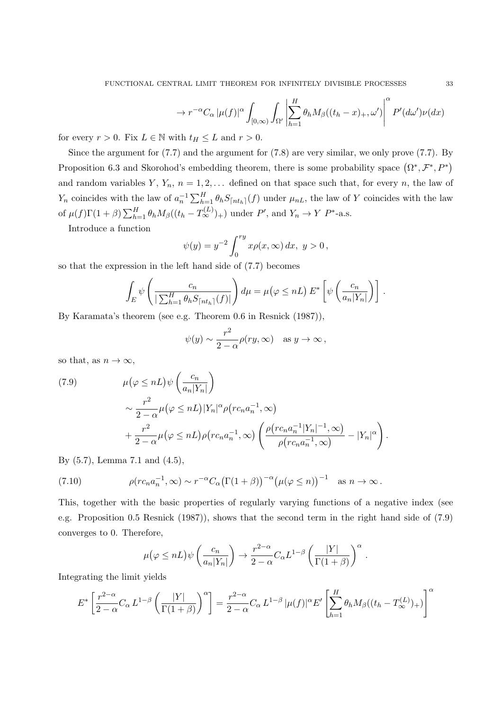$$
\to r^{-\alpha}C_{\alpha}\left|\mu(f)\right|^{\alpha}\int_{[0,\infty)}\int_{\Omega'}\left|\sum_{h=1}^{H}\theta_{h}M_{\beta}((t_{h}-x)_{+},\omega')\right|^{\alpha}P'(d\omega')\nu(dx)
$$

for every  $r > 0$ . Fix  $L \in \mathbb{N}$  with  $t_H \leq L$  and  $r > 0$ .

Since the argument for (7.7) and the argument for (7.8) are very similar, we only prove (7.7). By Proposition 6.3 and Skorohod's embedding theorem, there is some probability space  $(\Omega^*, \mathcal{F}^*, P^*)$ and random variables  $Y, Y_n, n = 1, 2, \ldots$  defined on that space such that, for every *n*, the law of  $Y_n$  coincides with the law of  $a_n^{-1} \sum_{h=1}^H \theta_h S_{\lfloor nt_h \rfloor}(f)$  under  $\mu_{nL}$ , the law of Y coincides with the law of  $\mu(f)\Gamma(1+\beta)\sum_{h=1}^H \theta_h M_\beta((t_h-T_\infty^{(L)})_+)$  under P', and  $Y_n \to Y$  P<sup>\*</sup>-a.s.

Introduce a function

$$
\psi(y) = y^{-2} \int_0^{ry} x \rho(x, \infty) dx, y > 0,
$$

so that the expression in the left hand side of (7.7) becomes

$$
\int_{E} \psi \left( \frac{c_n}{\left| \sum_{h=1}^{H} \theta_h S_{\lceil nt_h \rceil}(f) \rceil} \right) d\mu = \mu (\varphi \leq n) E^* \left[ \psi \left( \frac{c_n}{a_n |Y_n|} \right) \right].
$$

By Karamata's theorem (see e.g. Theorem 0.6 in Resnick (1987)),

$$
\psi(y) \sim \frac{r^2}{2-\alpha} \rho(ry, \infty)
$$
 as  $y \to \infty$ ,

so that, as  $n \to \infty$ ,

(7.9) 
$$
\mu(\varphi \leq nL)\psi\left(\frac{c_n}{a_n|Y_n|}\right) \sim \frac{r^2}{2-\alpha}\mu(\varphi \leq nL)|Y_n|^{\alpha}\rho\left(r c_n a_n^{-1}, \infty\right) + \frac{r^2}{2-\alpha}\mu(\varphi \leq nL)\rho\left(r c_n a_n^{-1}, \infty\right)\left(\frac{\rho\left(r c_n a_n^{-1}|Y_n|^{-1}, \infty\right)}{\rho\left(r c_n a_n^{-1}, \infty\right)} - |Y_n|^{\alpha}\right).
$$

By (5.7), Lemma 7.1 and (4.5),

(7.10) 
$$
\rho(r c_n a_n^{-1}, \infty) \sim r^{-\alpha} C_{\alpha} (\Gamma(1+\beta))^{-\alpha} (\mu(\varphi \leq n))^{-1} \text{ as } n \to \infty.
$$

This, together with the basic properties of regularly varying functions of a negative index (see e.g. Proposition 0.5 Resnick (1987)), shows that the second term in the right hand side of (7.9) converges to 0. Therefore,

$$
\mu(\varphi \leq nL)\psi\left(\frac{c_n}{a_n|Y_n|}\right) \to \frac{r^{2-\alpha}}{2-\alpha}C_{\alpha}L^{1-\beta}\left(\frac{|Y|}{\Gamma(1+\beta)}\right)^{\alpha}.
$$

Integrating the limit yields

$$
E^* \left[ \frac{r^{2-\alpha}}{2-\alpha} C_\alpha L^{1-\beta} \left( \frac{|Y|}{\Gamma(1+\beta)} \right)^\alpha \right] = \frac{r^{2-\alpha}}{2-\alpha} C_\alpha L^{1-\beta} |\mu(f)|^\alpha E' \left[ \sum_{h=1}^H \theta_h M_\beta ((t_h - T_\infty^{(L)})_+) \right]^\alpha
$$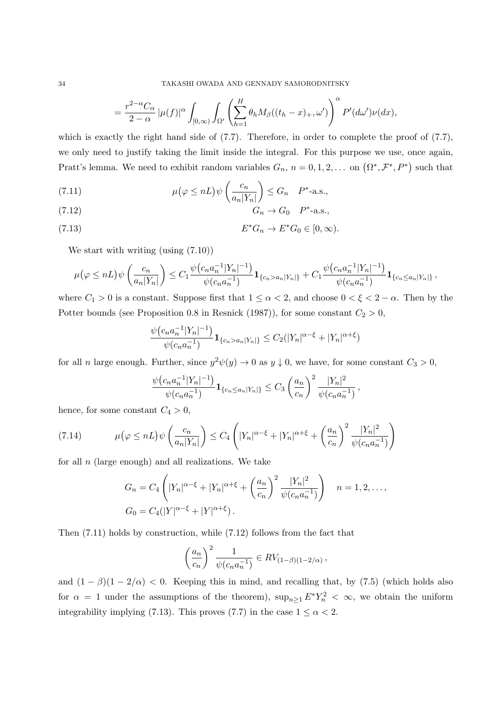$$
= \frac{r^{2-\alpha}C_{\alpha}}{2-\alpha} |\mu(f)|^{\alpha} \int_{[0,\infty)} \int_{\Omega'} \left( \sum_{h=1}^{H} \theta_h M_{\beta}((t_h - x)_+, \omega') \right)^{\alpha} P'(d\omega') \nu(dx),
$$

which is exactly the right hand side of  $(7.7)$ . Therefore, in order to complete the proof of  $(7.7)$ , we only need to justify taking the limit inside the integral. For this purpose we use, once again, Pratt's lemma. We need to exhibit random variables  $G_n$ ,  $n = 0, 1, 2, \ldots$  on  $(\Omega^*, \mathcal{F}^*, P^*)$  such that

(7.11) 
$$
\mu(\varphi \le nL)\psi\left(\frac{c_n}{a_n|Y_n|}\right) \le G_n \quad P^*\text{-a.s.},
$$

$$
\mu(\varphi \le nL)\psi\left(\frac{c_n}{a_n|Y_n|}\right) \le G_n \quad P^*\text{-a.s.},
$$

$$
(7.12) \tGn \to G0 P*-a.s.,
$$

$$
(7.13) \t\t\t E^*G_n \to E^*G_0 \in [0,\infty).
$$

We start with writing (using  $(7.10)$ )

$$
\mu(\varphi \leq nL)\psi\left(\frac{c_n}{a_n|Y_n|}\right) \leq C_1 \frac{\psi(c_n a_n^{-1}|Y_n|^{-1})}{\psi(c_n a_n^{-1})} \mathbf{1}_{\{c_n > a_n|Y_n|\}} + C_1 \frac{\psi(c_n a_n^{-1}|Y_n|^{-1})}{\psi(c_n a_n^{-1})} \mathbf{1}_{\{c_n \leq a_n|Y_n|\}},
$$

where  $C_1 > 0$  is a constant. Suppose first that  $1 \leq \alpha < 2$ , and choose  $0 < \xi < 2 - \alpha$ . Then by the Potter bounds (see Proposition 0.8 in Resnick (1987)), for some constant  $C_2 > 0$ ,

$$
\frac{\psi(c_na_n^{-1}|Y_n|^{-1})}{\psi(c_na_n^{-1})}\mathbf{1}_{\{c_n>a_n|Y_n|\}} \leq C_2(|Y_n|^{\alpha-\xi}+|Y_n|^{\alpha+\xi})
$$

for all *n* large enough. Further, since  $y^2 \psi(y) \to 0$  as  $y \downarrow 0$ , we have, for some constant  $C_3 > 0$ ,

$$
\frac{\psi(c_na_n^{-1}|Y_n|^{-1})}{\psi(c_na_n^{-1})}\mathbf{1}_{\{c_n\leq a_n|Y_n|\}} \leq C_3 \left(\frac{a_n}{c_n}\right)^2 \frac{|Y_n|^2}{\psi(c_na_n^{-1})},
$$

hence, for some constant  $C_4 > 0$ ,

$$
(7.14) \qquad \mu\left(\varphi \leq nL\right)\psi\left(\frac{c_n}{a_n|Y_n|}\right) \leq C_4 \left(|Y_n|^{\alpha-\xi} + |Y_n|^{\alpha+\xi} + \left(\frac{a_n}{c_n}\right)^2 \frac{|Y_n|^2}{\psi(c_n a_n^{-1})}\right)
$$

for all *n* (large enough) and all realizations. We take

$$
G_n = C_4 \left( |Y_n|^{\alpha - \xi} + |Y_n|^{\alpha + \xi} + \left( \frac{a_n}{c_n} \right)^2 \frac{|Y_n|^2}{\psi(c_n a_n^{-1})} \right) \quad n = 1, 2, \dots,
$$
  

$$
G_0 = C_4(|Y|^{\alpha - \xi} + |Y|^{\alpha + \xi}).
$$

Then (7.11) holds by construction, while (7.12) follows from the fact that

$$
\left(\frac{a_n}{c_n}\right)^2 \frac{1}{\psi(c_n a_n^{-1})} \in RV_{(1-\beta)(1-2/\alpha)},
$$

and  $(1 - \beta)(1 - 2/\alpha) < 0$ . Keeping this in mind, and recalling that, by (7.5) (which holds also for  $\alpha = 1$  under the assumptions of the theorem),  $\sup_{n\geq 1} E^* Y_n^2 < \infty$ , we obtain the uniform integrability implying (7.13). This proves (7.7) in the case  $1 \leq \alpha < 2$ .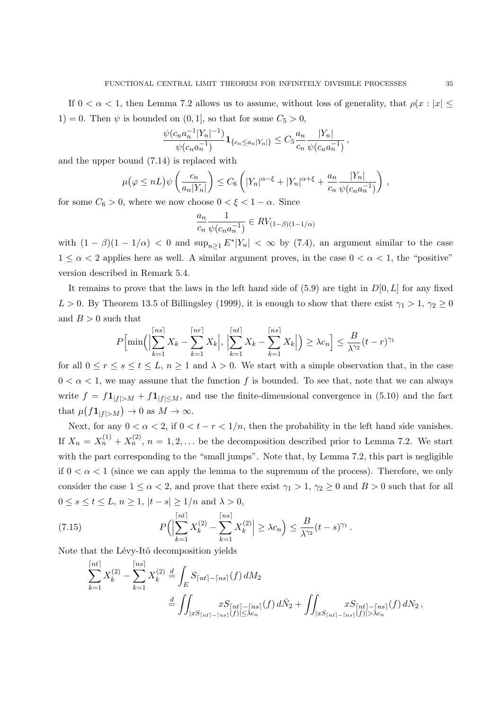If  $0 < \alpha < 1$ , then Lemma 7.2 allows us to assume, without loss of generality, that  $\rho(x : |x| \leq$ 1) = 0. Then  $\psi$  is bounded on  $(0, 1]$ , so that for some  $C_5 > 0$ ,

$$
\frac{\psi(c_na_n^{-1}|Y_n|^{-1})}{\psi(c_na_n^{-1})}\mathbf{1}_{\{c_n\leq a_n|Y_n|\}} \leq C_5 \frac{a_n}{c_n} \frac{|Y_n|}{\psi(c_na_n^{-1})},
$$

and the upper bound (7.14) is replaced with

$$
\mu(\varphi \leq nL)\psi\left(\frac{c_n}{a_n|Y_n|}\right) \leq C_6\left(|Y_n|^{\alpha-\xi}+|Y_n|^{\alpha+\xi}+\frac{a_n}{c_n}\frac{|Y_n|}{\psi(c_na_n^{-1})}\right),
$$

for some  $C_6 > 0$ , where we now choose  $0 < \xi < 1 - \alpha$ . Since

$$
\frac{a_n}{c_n} \frac{1}{\psi(c_n a_n^{-1})} \in RV_{(1-\beta)(1-1/\alpha)}
$$

with  $(1 - \beta)(1 - 1/\alpha) < 0$  and  $\sup_{n \geq 1} E^* |Y_n| < \infty$  by (7.4), an argument similar to the case  $1 \leq \alpha < 2$  applies here as well. A similar argument proves, in the case  $0 < \alpha < 1$ , the "positive" version described in Remark 5.4.

It remains to prove that the laws in the left hand side of (5.9) are tight in *D*[0*, L*] for any fixed *L* > 0. By Theorem 13.5 of Billingsley (1999), it is enough to show that there exist  $\gamma_1 > 1$ ,  $\gamma_2 \ge 0$ and  $B > 0$  such that

$$
P\Bigl[\min\Bigl(\Bigl|\sum_{k=1}^{n=1} X_k - \sum_{k=1}^{n=1} X_k\Bigr|, \Bigl|\sum_{k=1}^{n=1} X_k - \sum_{k=1}^{n=1} X_k\Bigr|\Bigr) \ge \lambda c_n\Bigr] \le \frac{B}{\lambda^{\gamma_2}}(t-r)^{\gamma_1}
$$

for all  $0 \le r \le s \le t \le L$ ,  $n \ge 1$  and  $\lambda > 0$ . We start with a simple observation that, in the case  $0 < \alpha < 1$ , we may assume that the function f is bounded. To see that, note that we can always write  $f = f\mathbf{1}_{|f|>M} + f\mathbf{1}_{|f|, and use the finite-dimensional convergence in (5.10) and the fact$ that  $\mu(f\mathbf{1}_{|f|>M}) \to 0$  as  $M \to \infty$ .

Next, for any  $0 < \alpha < 2$ , if  $0 < t - r < 1/n$ , then the probability in the left hand side vanishes. If  $X_n = X_n^{(1)} + X_n^{(2)}$ ,  $n = 1, 2, \ldots$  be the decomposition described prior to Lemma 7.2. We start with the part corresponding to the "small jumps". Note that, by Lemma 7.2, this part is negligible if  $0 < \alpha < 1$  (since we can apply the lemma to the supremum of the process). Therefore, we only consider the case  $1 \le \alpha < 2$ , and prove that there exist  $\gamma_1 > 1$ ,  $\gamma_2 \ge 0$  and  $B > 0$  such that for all  $0 \le s \le t \le L$ ,  $n \ge 1$ ,  $|t - s| \ge 1/n$  and  $\lambda > 0$ ,

(7.15) 
$$
P\Big(\Big|\sum_{k=1}^{\lceil nt \rceil} X_k^{(2)} - \sum_{k=1}^{\lceil ns \rceil} X_k^{(2)}\Big| \geq \lambda c_n\Big) \leq \frac{B}{\lambda^{\gamma_2}}(t-s)^{\gamma_1}.
$$

Note that the Lévy-Itô decomposition yields

$$
\sum_{k=1}^{\lceil nt \rceil} X_k^{(2)} - \sum_{k=1}^{\lceil ns \rceil} X_k^{(2)} \stackrel{d}{=} \int_E S_{\lceil nt \rceil - \lceil ns \rceil}(f) dM_2
$$
\n
$$
\stackrel{d}{=} \iint_{|xS_{\lceil nt \rceil - \lceil ns \rceil}(f) \leq \lambda c_n} xS_{\lceil nt \rceil - \lceil ns \rceil}(f) d\bar{N}_2 + \iint_{|xS_{\lceil nt \rceil - \lceil ns \rceil}(f) \leq \lambda c_n} xS_{\lceil nt \rceil - \lceil ns \rceil}(f) dN_2,
$$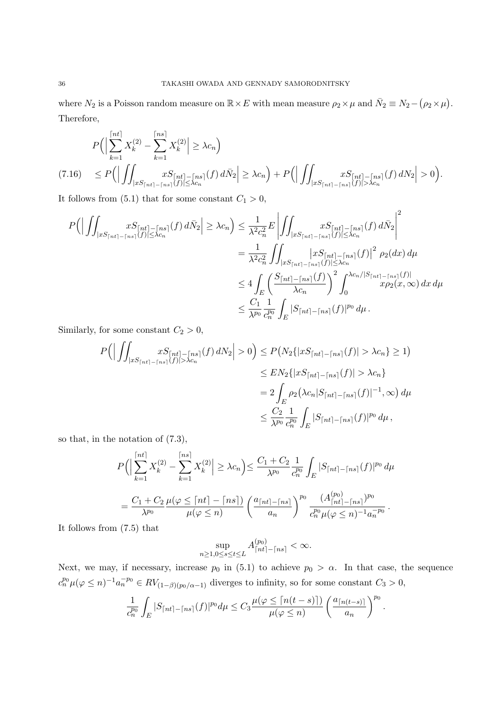where  $N_2$  is a Poisson random measure on  $\mathbb{R} \times E$  with mean measure  $\rho_2 \times \mu$  and  $\bar{N}_2 \equiv N_2 - (\rho_2 \times \mu)$ . Therefore,

$$
P\Big(\Big|\sum_{k=1}^{\lceil nt \rceil} X_k^{(2)} - \sum_{k=1}^{\lceil ns \rceil} X_k^{(2)} \Big| \ge \lambda c_n\Big)
$$
  
(7.16) 
$$
\le P\Big(\Big|\iint_{|xS_{\lceil nt \rceil - \lceil ns \rceil}(f)| \le \lambda c_n} xS_{\lceil nt \rceil - \lceil ns \rceil}(f) d\bar{N}_2 \Big| \ge \lambda c_n\Big) + P\Big(\Big|\iint_{|xS_{\lceil nt \rceil - \lceil ns \rceil}(f)| > \lambda c_n} xS_{\lceil nt \rceil - \lceil ns \rceil}(f) dN_2 \Big| > 0\Big).
$$

It follows from  $(5.1)$  that for some constant  $C_1 > 0$ ,

$$
P\Big(\Big|\iint_{|xS_{\lceil nt\rceil - \lceil ns\rceil}(f)} xS_{\lceil nt\rceil - \lceil ns\rceil}(f) d\bar{N}_2\Big| \geq \lambda c_n\Big) \leq \frac{1}{\lambda^2 c_n^2} E\left|\iint_{|xS_{\lceil nt\rceil - \lceil ns\rceil}(f)\rceil \leq \lambda c_n} xS_{\lceil nt\rceil - \lceil ns\rceil}(f) d\bar{N}_2\Big|^2\right|
$$
  

$$
= \frac{1}{\lambda^2 c_n^2} \iint_{|xS_{\lceil nt\rceil - \lceil ns\rceil}(f)\rceil \leq \lambda c_n} \Big|xS_{\lceil nt\rceil - \lceil ns\rceil}(f)\Big|^2 \rho_2(dx) d\mu
$$
  

$$
\leq 4 \int_E \left(\frac{S_{\lceil nt\rceil - \lceil ns\rceil}(f)}{\lambda c_n}\right)^2 \int_0^{\lambda c_n/|S_{\lceil nt\rceil - \lceil ns\rceil}(f)|} x\rho_2(x,\infty) dx d\mu
$$
  

$$
\leq \frac{C_1}{\lambda^{p_0}} \frac{1}{c_n^{p_0}} \int_E |S_{\lceil nt\rceil - \lceil ns\rceil}(f)|^{p_0} d\mu.
$$

Similarly, for some constant  $C_2 > 0$ ,

$$
P\Big(\Big|\iint_{|xS_{\lceil nt\rceil - \lceil ns\rceil}(f)| > \lambda c_n} xS_{\lceil nt\rceil - \lceil ns\rceil}(f) dN_2\Big| > 0\Big) \le P\big(N_2\{|xS_{\lceil nt\rceil - \lceil ns\rceil}(f)| > \lambda c_n\} \ge 1\big)
$$
  

$$
\le EN_2\{|xS_{\lceil nt\rceil - \lceil ns\rceil}(f)| > \lambda c_n\}
$$
  

$$
= 2 \int_E \rho_2\big(\lambda c_n |S_{\lceil nt\rceil - \lceil ns\rceil}(f)|^{-1}, \infty\big) d\mu
$$
  

$$
\le \frac{C_2}{\lambda^{p_0}} \frac{1}{c_n^{p_0}} \int_E |S_{\lceil nt\rceil - \lceil ns\rceil}(f)|^{p_0} d\mu,
$$

so that, in the notation of (7.3),

$$
P\Big(\Big|\sum_{k=1}^{[nt]} X_k^{(2)} - \sum_{k=1}^{[ns]} X_k^{(2)}\Big| \ge \lambda c_n\Big) \le \frac{C_1 + C_2}{\lambda^{p_0}} \frac{1}{c_n^{p_0}} \int_E |S_{\lceil nt \rceil - \lceil ns \rceil}(f)|^{p_0} d\mu
$$
  
=  $\frac{C_1 + C_2}{\lambda^{p_0}} \frac{\mu(\varphi \le \lceil nt \rceil - \lceil ns \rceil)}{\mu(\varphi \le n)} \left(\frac{a_{\lceil nt \rceil - \lceil ns \rceil}}{a_n}\right)^{p_0} \frac{(A_{\lceil nt \rceil - \lceil ns \rceil}^{(p_0)})^{p_0}}{c_n^{p_0} \mu(\varphi \le n)^{-1} a_n^{-p_0}}.$ 

It follows from (7.5) that

$$
\sup_{n\geq 1, 0\leq s\leq t\leq L} A^{(p_0)}_{\lceil nt\rceil - \lceil ns\rceil} < \infty.
$$

Next, we may, if necessary, increase  $p_0$  in (5.1) to achieve  $p_0 > \alpha$ . In that case, the sequence  $c_n^{p_0}\mu(\varphi \leq n)^{-1}a_n^{-p_0} \in RV_{(1-\beta)(p_0/\alpha-1)}$  diverges to infinity, so for some constant  $C_3 > 0$ ,

$$
\frac{1}{c_n^{p_0}}\int_E|S_{\lceil nt\rceil-\lceil ns\rceil}(f)|^{p_0}d\mu\leq C_3\frac{\mu(\varphi\leq \lceil n(t-s)\rceil)}{\mu(\varphi\leq n)}\left(\frac{a_{\lceil n(t-s)\rceil}}{a_n}\right)^{p_0}.
$$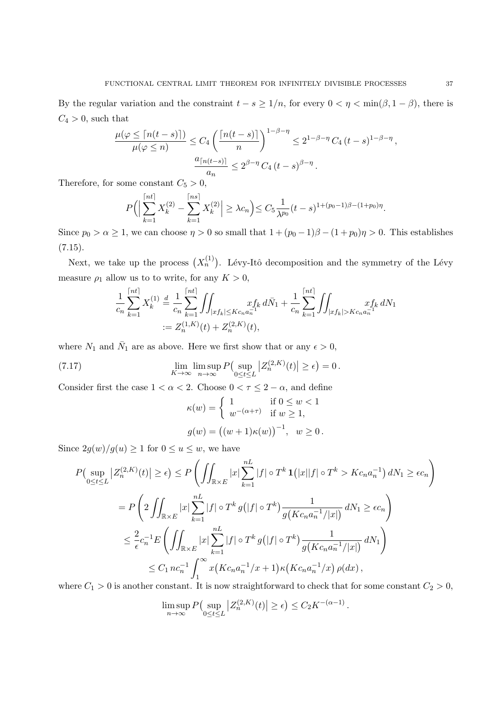By the regular variation and the constraint  $t - s \geq 1/n$ , for every  $0 < \eta < \min(\beta, 1 - \beta)$ , there is  $C_4 > 0$ , such that

$$
\frac{\mu(\varphi \leq \lceil n(t-s) \rceil)}{\mu(\varphi \leq n)} \leq C_4 \left( \frac{\lceil n(t-s) \rceil}{n} \right)^{1-\beta-\eta} \leq 2^{1-\beta-\eta} C_4 (t-s)^{1-\beta-\eta},
$$
  

$$
\frac{a_{\lceil n(t-s) \rceil}}{a_n} \leq 2^{\beta-\eta} C_4 (t-s)^{\beta-\eta}.
$$

Therefore, for some constant  $C_5 > 0$ ,

$$
P\Big(\Big|\sum_{k=1}^{\lceil nt \rceil} X_k^{(2)} - \sum_{k=1}^{\lceil ns \rceil} X_k^{(2)} \Big| \ge \lambda c_n\Big) \le C_5 \frac{1}{\lambda^{p_0}} (t-s)^{1+(p_0-1)\beta-(1+p_0)\eta}.
$$

Since  $p_0 > \alpha \geq 1$ , we can choose  $\eta > 0$  so small that  $1 + (p_0 - 1)\beta - (1 + p_0)\eta > 0$ . This establishes  $(7.15).$ 

Next, we take up the process  $(X_n^{(1)})$ . Lévy-Itô decomposition and the symmetry of the Lévy measure  $\rho_1$  allow us to to write, for any  $K > 0$ ,

$$
\frac{1}{c_n} \sum_{k=1}^{\lceil nt \rceil} X_k^{(1)} \stackrel{d}{=} \frac{1}{c_n} \sum_{k=1}^{\lceil nt \rceil} \iint_{|xf_k| \le K c_n a_n^{-1}} x f_k d\bar{N}_1 + \frac{1}{c_n} \sum_{k=1}^{\lceil nt \rceil} \iint_{|xf_k| > K c_n a_n^{-1}} x f_k dN_1
$$
  
:=  $Z_n^{(1,K)}(t) + Z_n^{(2,K)}(t),$ 

where  $N_1$  and  $\bar{N}_1$  are as above. Here we first show that or any  $\epsilon > 0$ ,

(7.17) 
$$
\lim_{K \to \infty} \limsup_{n \to \infty} P\left(\sup_{0 \le t \le L} \left| Z_n^{(2,K)}(t) \right| \ge \epsilon \right) = 0.
$$

Consider first the case  $1 < \alpha < 2$ . Choose  $0 < \tau \leq 2 - \alpha$ , and define

$$
\kappa(w) = \begin{cases}\n1 & \text{if } 0 \le w < 1 \\
w^{-(\alpha + \tau)} & \text{if } w \ge 1,\n\end{cases}
$$
\n
$$
g(w) = ((w+1)\kappa(w))^{-1}, \quad w \ge 0.
$$

Since  $2g(w)/g(u) \geq 1$  for  $0 \leq u \leq w$ , we have

$$
P\left(\sup_{0\leq t\leq L}|Z_n^{(2,K)}(t)|\geq \epsilon\right) \leq P\left(\iint_{\mathbb{R}\times E}|x|\sum_{k=1}^{nL}|f| \circ T^k \mathbf{1}(|x||f| \circ T^k > Kc_na_n^{-1}) dN_1 \geq \epsilon c_n\right)
$$
  
\n
$$
= P\left(2\iint_{\mathbb{R}\times E}|x|\sum_{k=1}^{nL}|f| \circ T^k g(|f| \circ T^k) \frac{1}{g(Kc_na_n^{-1}/|x|)} dN_1 \geq \epsilon c_n\right)
$$
  
\n
$$
\leq \frac{2}{\epsilon}c_n^{-1}E\left(\iint_{\mathbb{R}\times E}|x|\sum_{k=1}^{nL}|f| \circ T^k g(|f| \circ T^k) \frac{1}{g(Kc_na_n^{-1}/|x|)} dN_1\right)
$$
  
\n
$$
\leq C_1 n c_n^{-1} \int_1^\infty x(Kc_na_n^{-1}/x+1) \kappa(Kc_na_n^{-1}/x) \rho(dx),
$$

where  $C_1 > 0$  is another constant. It is now straightforward to check that for some constant  $C_2 > 0$ ,

$$
\limsup_{n \to \infty} P\left(\sup_{0 \le t \le L} \left| Z_n^{(2,K)}(t) \right| \ge \epsilon \right) \le C_2 K^{-(\alpha - 1)}
$$

*.*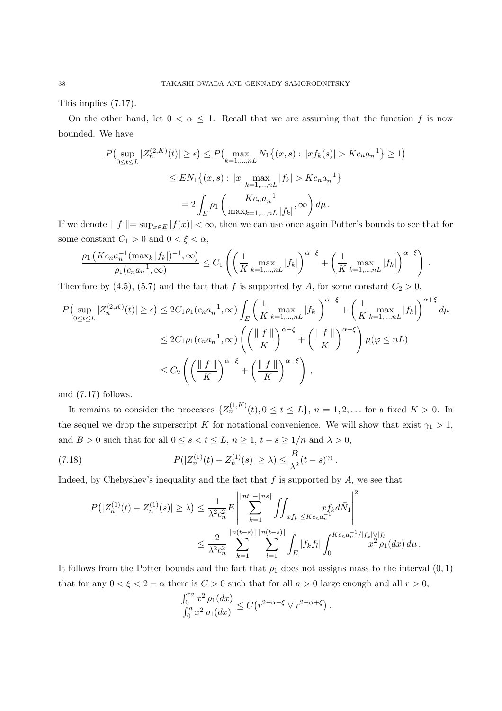This implies (7.17).

On the other hand, let  $0 < \alpha \leq 1$ . Recall that we are assuming that the function f is now bounded. We have

$$
P\left(\sup_{0\leq t\leq L}|Z_n^{(2,K)}(t)|\geq \epsilon\right) \leq P\left(\max_{k=1,\dots,nL} N_1\{(x,s): |xf_k(s)| > Kc_na_n^{-1}\}\geq 1\right)
$$

$$
\leq EN_1\{(x,s): |x|\max_{k=1,\dots,nL}|f_k| > Kc_na_n^{-1}\}
$$

$$
= 2\int_E \rho_1\left(\frac{Kc_na_n^{-1}}{\max_{k=1,\dots,nL}|f_k|},\infty\right)d\mu.
$$

If we denote  $| | f | = \sup_{x \in E} |f(x)| < ∞$ , then we can use once again Potter's bounds to see that for some constant  $C_1 > 0$  and  $0 < \xi < \alpha$ ,

$$
\frac{\rho_1\left(Kc_na_n^{-1}(\max_k|f_k|)^{-1},\infty\right)}{\rho_1(c_na_n^{-1},\infty)} \leq C_1\left(\left(\frac{1}{K}\max_{k=1,\dots,nL}|f_k|\right)^{\alpha-\xi}+\left(\frac{1}{K}\max_{k=1,\dots,nL}|f_k|\right)^{\alpha+\xi}\right).
$$

Therefore by (4.5), (5.7) and the fact that *f* is supported by *A*, for some constant  $C_2 > 0$ ,

$$
P\left(\sup_{0\leq t\leq L}|Z_n^{(2,K)}(t)|\geq \epsilon\right) \leq 2C_1\rho_1(c_na_n^{-1},\infty)\int_E\left(\frac{1}{K}\max_{k=1,\dots,nL}|f_k|\right)^{\alpha-\xi}+\left(\frac{1}{K}\max_{k=1,\dots,nL}|f_k|\right)^{\alpha+\xi}d\mu
$$
  

$$
\leq 2C_1\rho_1(c_na_n^{-1},\infty)\left(\left(\frac{||f||}{K}\right)^{\alpha-\xi}+\left(\frac{||f||}{K}\right)^{\alpha+\xi}\right)\mu(\varphi\leq nL)
$$
  

$$
\leq C_2\left(\left(\frac{||f||}{K}\right)^{\alpha-\xi}+\left(\frac{||f||}{K}\right)^{\alpha+\xi}\right),
$$

and (7.17) follows.

It remains to consider the processes  $\{Z_n^{(1,K)}(t), 0 \le t \le L\}$ ,  $n = 1, 2, \ldots$  for a fixed  $K > 0$ . In the sequel we drop the superscript *K* for notational convenience. We will show that exist  $\gamma_1 > 1$ , and *B* > 0 such that for all  $0 \le s < t \le L$ ,  $n \ge 1$ ,  $t - s \ge 1/n$  and  $\lambda > 0$ ,

(7.18) 
$$
P(|Z_n^{(1)}(t) - Z_n^{(1)}(s)| \ge \lambda) \le \frac{B}{\lambda^2} (t-s)^{\gamma_1}.
$$

Indeed, by Chebyshev's inequality and the fact that *f* is supported by *A*, we see that

$$
P(|Z_n^{(1)}(t) - Z_n^{(1)}(s)| \ge \lambda) \le \frac{1}{\lambda^2 c_n^2} E \left| \sum_{k=1}^{\lceil nt \rceil - \lceil ns \rceil} \iint_{|xf_k| \le K c_n a_n^{-1}} x f_k d\bar{N}_1 \right|^2
$$
  

$$
\le \frac{2}{\lambda^2 c_n^2} \sum_{k=1}^{\lceil n(t-s) \rceil} \sum_{l=1}^{\lceil n(t-s) \rceil} \int_E |f_k f_l| \int_0^{K c_n a_n^{-1} / |f_k| \vee |f_l|} x^2 \rho_1(dx) d\mu.
$$

It follows from the Potter bounds and the fact that  $\rho_1$  does not assigns mass to the interval  $(0,1)$ that for any  $0 < \xi < 2 - \alpha$  there is  $C > 0$  such that for all  $a > 0$  large enough and all  $r > 0$ ,

$$
\frac{\int_0^r x^2 \rho_1(dx)}{\int_0^a x^2 \rho_1(dx)} \le C(r^{2-\alpha-\xi} \vee r^{2-\alpha+\xi}).
$$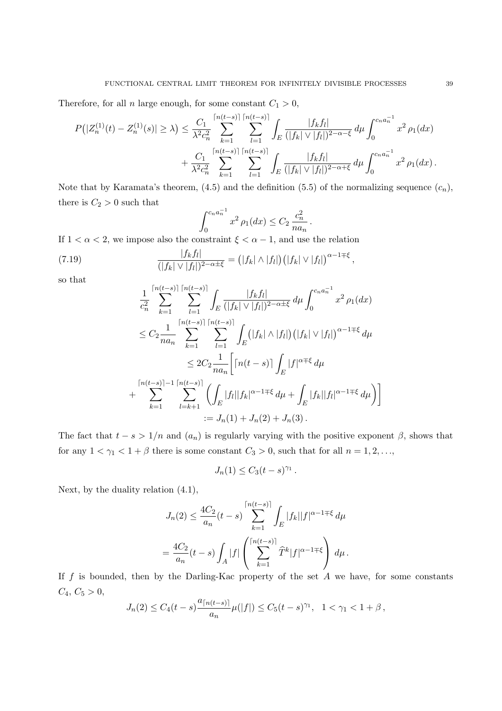Therefore, for all *n* large enough, for some constant  $C_1 > 0$ ,

$$
P(|Z_n^{(1)}(t) - Z_n^{(1)}(s)| \ge \lambda) \le \frac{C_1}{\lambda^2 c_n^2} \sum_{k=1}^{\lceil n(t-s) \rceil} \sum_{l=1}^{\lceil n(t-s) \rceil} \int_E \frac{|f_k f_l|}{(|f_k| \vee |f_l|)^{2-\alpha-\xi}} d\mu \int_0^{c_n a_n^{-1}} x^2 \rho_1(dx) + \frac{C_1}{\lambda^2 c_n^2} \sum_{k=1}^{\lceil n(t-s) \rceil} \sum_{l=1}^{\lceil n(t-s) \rceil} \int_E \frac{|f_k f_l|}{(|f_k| \vee |f_l|)^{2-\alpha+\xi}} d\mu \int_0^{c_n a_n^{-1}} x^2 \rho_1(dx).
$$

Note that by Karamata's theorem,  $(4.5)$  and the definition  $(5.5)$  of the normalizing sequence  $(c_n)$ , there is  $C_2 > 0$  such that

$$
\int_0^{c_n a_n^{-1}} x^2 \, \rho_1(dx) \le C_2 \, \frac{c_n^2}{na_n} \, .
$$

If  $1 < \alpha < 2$ , we impose also the constraint  $\xi < \alpha - 1$ , and use the relation

(7.19) 
$$
\frac{|f_kf_l|}{(|f_k| \vee |f_l|)^{2-\alpha \pm \xi}} = (|f_k| \wedge |f_l|) (|f_k| \vee |f_l|)^{\alpha - 1 \mp \xi},
$$

so that

$$
\frac{1}{c_n^2} \sum_{k=1}^{\lceil n(t-s) \rceil} \sum_{l=1}^{\lceil n(t-s) \rceil} \int_E \frac{|f_k f_l|}{(|f_k| \vee |f_l|)^{2-\alpha+\xi}} d\mu \int_0^{c_n a_n^{-1}} x^2 \rho_1(dx)
$$
  
\n
$$
\leq C_2 \frac{1}{na_n} \sum_{k=1}^{\lceil n(t-s) \rceil} \sum_{l=1}^{\lceil n(t-s) \rceil} \int_E (|f_k| \wedge |f_l|) (|f_k| \vee |f_l|)^{\alpha-1+\xi} d\mu
$$
  
\n
$$
\leq 2C_2 \frac{1}{na_n} \Big[ \lceil n(t-s) \rceil \int_E |f|^{\alpha+\xi} d\mu
$$
  
\n
$$
+ \sum_{k=1}^{\lceil n(t-s) \rceil - 1} \sum_{l=k+1}^{\lceil n(t-s) \rceil} \left( \int_E |f_l| |f_k|^{\alpha-1+\xi} d\mu + \int_E |f_k| |f_l|^{\alpha-1+\xi} d\mu \right) \Big]
$$
  
\n
$$
:= J_n(1) + J_n(2) + J_n(3).
$$

The fact that  $t - s > 1/n$  and  $(a_n)$  is regularly varying with the positive exponent  $\beta$ , shows that for any  $1 < \gamma_1 < 1 + \beta$  there is some constant  $C_3 > 0$ , such that for all  $n = 1, 2, \ldots$ ,

$$
J_n(1) \le C_3(t-s)^{\gamma_1}
$$

*.*

Next, by the duality relation (4.1),

$$
J_n(2) \le \frac{4C_2}{a_n}(t-s) \sum_{k=1}^{\lceil n(t-s) \rceil} \int_E |f_k||f|^{\alpha-1+\xi} d\mu
$$
  
= 
$$
\frac{4C_2}{a_n}(t-s) \int_A |f| \left( \sum_{k=1}^{\lceil n(t-s) \rceil} \widehat{T}^k |f|^{\alpha-1+\xi} \right) d\mu.
$$

If *f* is bounded, then by the Darling-Kac property of the set *A* we have, for some constants  $C_4, C_5 > 0,$ 

$$
J_n(2) \le C_4(t-s)\frac{a_{\lceil n(t-s) \rceil}}{a_n} \mu(|f|) \le C_5(t-s)^{\gamma_1}, \quad 1 < \gamma_1 < 1+\beta,
$$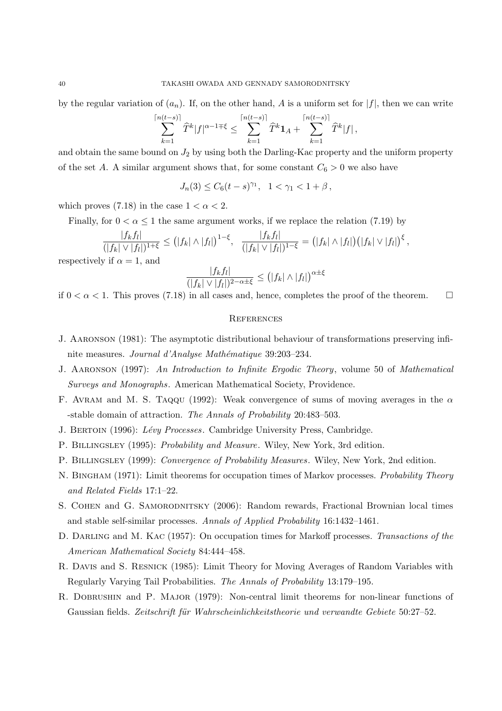by the regular variation of  $(a_n)$ . If, on the other hand, A is a uniform set for  $|f|$ , then we can write

$$
\sum_{k=1}^{\lceil n(t-s)\rceil} \widehat{T}^k |f|^{\alpha-1+\xi} \le \sum_{k=1}^{\lceil n(t-s)\rceil} \widehat{T}^k \mathbf{1}_A + \sum_{k=1}^{\lceil n(t-s)\rceil} \widehat{T}^k |f|,
$$

and obtain the same bound on  $J_2$  by using both the Darling-Kac property and the uniform property of the set *A*. A similar argument shows that, for some constant  $C_6 > 0$  we also have

 $J_n(3) \leq C_6(t-s)^{\gamma_1}, \quad 1 < \gamma_1 < 1+\beta$ ,

which proves (7.18) in the case  $1 < \alpha < 2$ .

Finally, for  $0 < \alpha \leq 1$  the same argument works, if we replace the relation (7.19) by

$$
\frac{|f_kf_l|}{(|f_k| \vee |f_l|)^{1+\xi}} \leq (|f_k| \wedge |f_l|)^{1-\xi}, \quad \frac{|f_kf_l|}{(|f_k| \vee |f_l|)^{1-\xi}} = (|f_k| \wedge |f_l|) (|f_k| \vee |f_l|)^{\xi},
$$

respectively if  $\alpha = 1$ , and

$$
\frac{|f_k f_l|}{(|f_k| \vee |f_l|)^{2-\alpha \pm \xi}} \le (|f_k| \wedge |f_l|)^{\alpha \pm \xi}
$$

if  $0 < \alpha < 1$ . This proves (7.18) in all cases and, hence, completes the proof of the theorem.

### **REFERENCES**

- J. Aaronson (1981): The asymptotic distributional behaviour of transformations preserving infinite measures. *Journal d'Analyse Mathématique* 39:203-234.
- J. Aaronson (1997): *An Introduction to Infinite Ergodic Theory*, volume 50 of *Mathematical Surveys and Monographs*. American Mathematical Society, Providence.
- F. Avram and M. S. Taqqu (1992): Weak convergence of sums of moving averages in the *α* -stable domain of attraction. *The Annals of Probability* 20:483–503.
- J. Bertoin (1996): *L´evy Processes*. Cambridge University Press, Cambridge.
- P. Billingsley (1995): *Probability and Measure*. Wiley, New York, 3rd edition.
- P. Billingsley (1999): *Convergence of Probability Measures*. Wiley, New York, 2nd edition.
- N. Bingham (1971): Limit theorems for occupation times of Markov processes. *Probability Theory and Related Fields* 17:1–22.
- S. COHEN and G. SAMORODNITSKY (2006): Random rewards, Fractional Brownian local times and stable self-similar processes. *Annals of Applied Probability* 16:1432–1461.
- D. Darling and M. Kac (1957): On occupation times for Markoff processes. *Transactions of the American Mathematical Society* 84:444–458.
- R. Davis and S. Resnick (1985): Limit Theory for Moving Averages of Random Variables with Regularly Varying Tail Probabilities. *The Annals of Probability* 13:179–195.
- R. DOBRUSHIN and P. MAJOR (1979): Non-central limit theorems for non-linear functions of Gaussian fields. Zeitschrift für Wahrscheinlichkeitstheorie und verwandte Gebiete 50:27–52.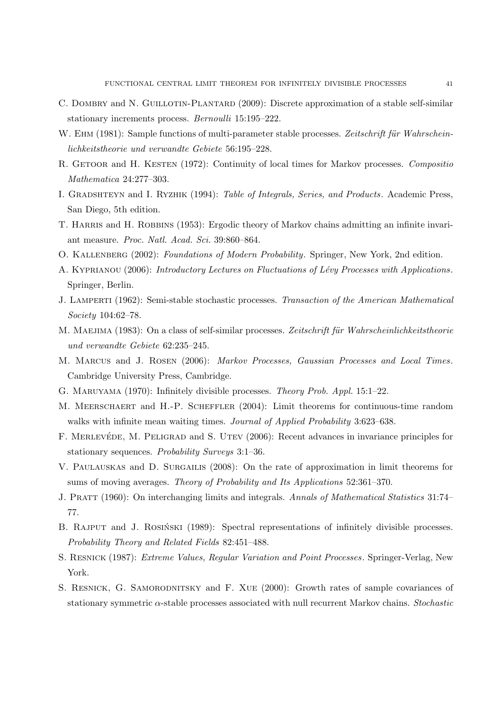- C. DOMBRY and N. GUILLOTIN-PLANTARD (2009): Discrete approximation of a stable self-similar stationary increments process. *Bernoulli* 15:195–222.
- W. EHM (1981): Sample functions of multi-parameter stable processes. Zeitschrift für Wahrschein*lichkeitstheorie und verwandte Gebiete* 56:195–228.
- R. GETOOR and H. KESTEN (1972): Continuity of local times for Markov processes. *Compositio Mathematica* 24:277–303.
- I. Gradshteyn and I. Ryzhik (1994): *Table of Integrals, Series, and Products*. Academic Press, San Diego, 5th edition.
- T. HARRIS and H. ROBBINS (1953): Ergodic theory of Markov chains admitting an infinite invariant measure. *Proc. Natl. Acad. Sci.* 39:860–864.
- O. Kallenberg (2002): *Foundations of Modern Probability*. Springer, New York, 2nd edition.
- A. Kyprianou (2006): *Introductory Lectures on Fluctuations of L´evy Processes with Applications* . Springer, Berlin.
- J. Lamperti (1962): Semi-stable stochastic processes. *Transaction of the American Mathematical Society* 104:62–78.
- M. MAEJIMA (1983): On a class of self-similar processes. Zeitschrift für Wahrscheinlichkeitstheorie *und verwandte Gebiete* 62:235–245.
- M. Marcus and J. Rosen (2006): *Markov Processes, Gaussian Processes and Local Times*. Cambridge University Press, Cambridge.
- G. Maruyama (1970): Infinitely divisible processes. *Theory Prob. Appl.* 15:1–22.
- M. MEERSCHAERT and H.-P. SCHEFFLER (2004): Limit theorems for continuous-time random walks with infinite mean waiting times. *Journal of Applied Probability* 3:623–638.
- F. MERLEVÉDE, M. PELIGRAD and S. UTEV (2006): Recent advances in invariance principles for stationary sequences. *Probability Surveys* 3:1–36.
- V. Paulauskas and D. Surgailis (2008): On the rate of approximation in limit theorems for sums of moving averages. *Theory of Probability and Its Applications* 52:361–370.
- J. Pratt (1960): On interchanging limits and integrals. *Annals of Mathematical Statistics* 31:74– 77.
- B. RAJPUT and J. ROSINSKI (1989): Spectral representations of infinitely divisible processes. *Probability Theory and Related Fields* 82:451–488.
- S. Resnick (1987): *Extreme Values, Regular Variation and Point Processes*. Springer-Verlag, New York.
- S. Resnick, G. Samorodnitsky and F. Xue (2000): Growth rates of sample covariances of stationary symmetric *α*-stable processes associated with null recurrent Markov chains. *Stochastic*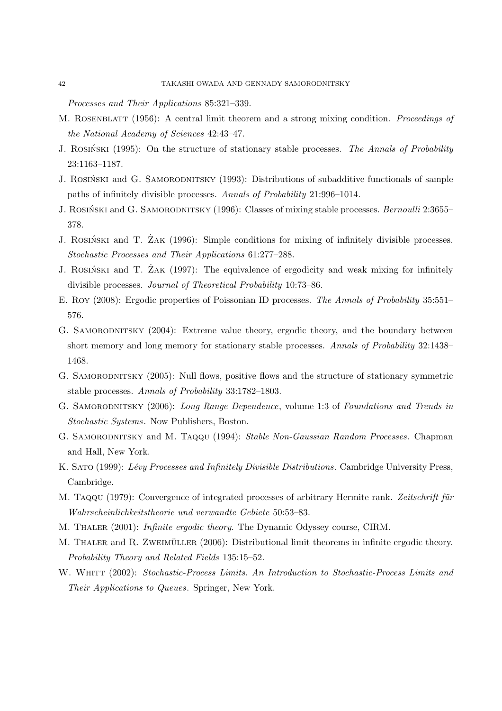*Processes and Their Applications* 85:321–339.

- M. Rosenblatt (1956): A central limit theorem and a strong mixing condition. *Proceedings of the National Academy of Sciences* 42:43–47.
- J. ROSINSKI (1995): On the structure of stationary stable processes. *The Annals of Probability* 23:1163–1187.
- J. ROSIŃSKI and G. SAMORODNITSKY (1993): Distributions of subadditive functionals of sample paths of infinitely divisible processes. *Annals of Probability* 21:996–1014.
- J. ROSIŃSKI and G. SAMORODNITSKY (1996): Classes of mixing stable processes. *Bernoulli* 2:3655– 378.
- J. ROSINSKI and T. ZAK (1996): Simple conditions for mixing of infinitely divisible processes. *Stochastic Processes and Their Applications* 61:277–288.
- J. ROSINSKI and T. ZAK (1997): The equivalence of ergodicity and weak mixing for infinitely divisible processes. *Journal of Theoretical Probability* 10:73–86.
- E. Roy (2008): Ergodic properties of Poissonian ID processes. *The Annals of Probability* 35:551– 576.
- G. SAMORODNITSKY (2004): Extreme value theory, ergodic theory, and the boundary between short memory and long memory for stationary stable processes. *Annals of Probability* 32:1438– 1468.
- G. SAMORODNITSKY (2005): Null flows, positive flows and the structure of stationary symmetric stable processes. *Annals of Probability* 33:1782–1803.
- G. Samorodnitsky (2006): *Long Range Dependence*, volume 1:3 of *Foundations and Trends in Stochastic Systems*. Now Publishers, Boston.
- G. Samorodnitsky and M. Taqqu (1994): *Stable Non-Gaussian Random Processes*. Chapman and Hall, New York.
- K. Sato (1999): *L´evy Processes and Infinitely Divisible Distributions*. Cambridge University Press, Cambridge.
- M. Taqqu (1979): Convergence of integrated processes of arbitrary Hermite rank. *Zeitschrift für Wahrscheinlichkeitstheorie und verwandte Gebiete* 50:53–83.
- M. Thaler (2001): *Infinite ergodic theory*. The Dynamic Odyssey course, CIRM.
- M. THALER and R. ZWEIMÜLLER (2006): Distributional limit theorems in infinite ergodic theory. *Probability Theory and Related Fields* 135:15–52.
- W. WHITT (2002): *Stochastic-Process Limits. An Introduction to Stochastic-Process Limits and Their Applications to Queues*. Springer, New York.